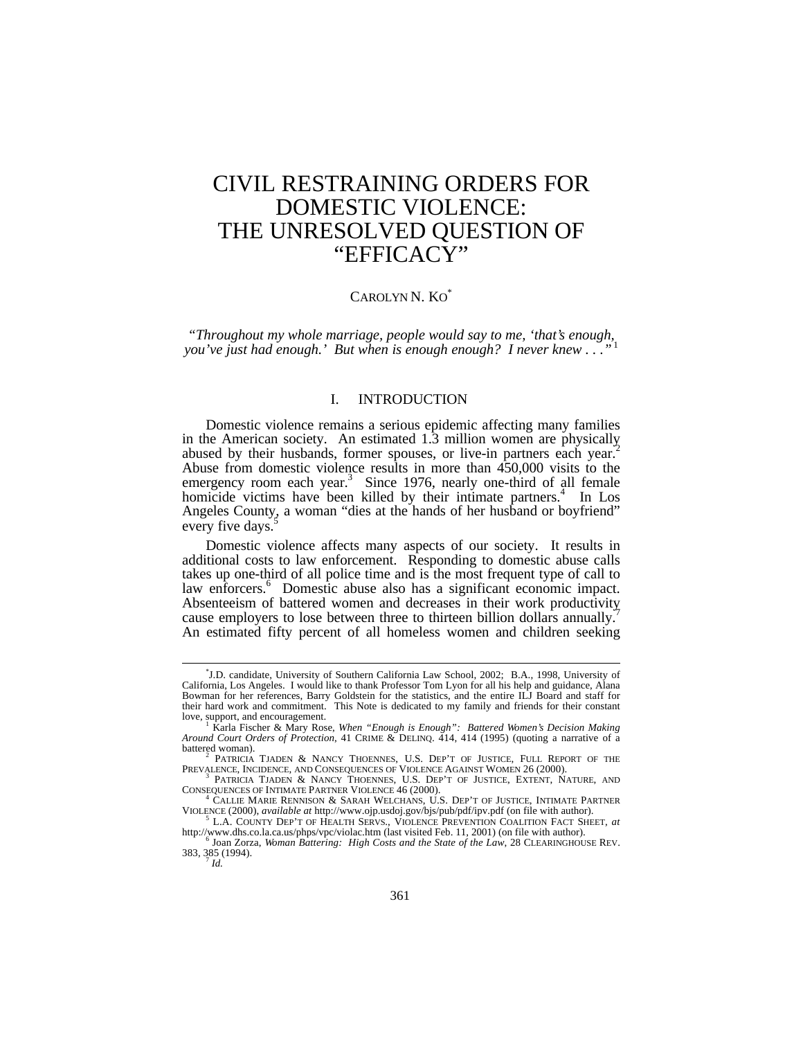# CIVIL RESTRAINING ORDERS FOR DOMESTIC VIOLENCE: THE UNRESOLVED QUESTION OF "EFFICACY"

# CAROLYN N. KO<sup>\*</sup>

*"Throughout my whole marriage, people would say to me, 'that's enough, you've just had enough.' But when is enough enough? I never knew ...'* 

# I. INTRODUCTION

Domestic violence remains a serious epidemic affecting many families in the American society. An estimated 1.3 million women are physically abused by their husbands, former spouses, or live-in partners each year.<sup>2</sup> Abuse from domestic violence results in more than 450,000 visits to the emergency room each year.<sup>3</sup> Since 1976, nearly one-third of all female homicide victims have been killed by their intimate partners.<sup>4</sup> In Los Angeles County, a woman "dies at the hands of her husband or boyfriend" every five days.<sup>5</sup>

Domestic violence affects many aspects of our society. It results in additional costs to law enforcement. Responding to domestic abuse calls takes up one-third of all police time and is the most frequent type of call to law enforcers.<sup>6</sup> Domestic abuse also has a significant economic impact. Absenteeism of battered women and decreases in their work productivity cause employers to lose between three to thirteen billion dollars annually.<sup>7</sup> An estimated fifty percent of all homeless women and children seeking

<sup>\*</sup> J.D. candidate, University of Southern California Law School, 2002; B.A., 1998, University of California, Los Angeles. I would like to thank Professor Tom Lyon for all his help and guidance, Alana Bowman for her references, Barry Goldstein for the statistics, and the entire ILJ Board and staff for their hard work and commitment. This Note is dedicated to my family and friends for their constant love, support, and encouragement.

Karla Fischer & Mary Rose, *When "Enough is Enough": Battered Women's Decision Making Around Court Orders of Protection*, 41 CRIME & DELINQ. 414, 414 (1995) (quoting a narrative of a battered woman).

<sup>2</sup> PATRICIA TJADEN & NANCY THOENNES, U.S. DEP'T OF JUSTICE, FULL REPORT OF THE PREVALENCE, INCIDENCE, AND CONSEQUENCES OF VIOLENCE AGAINST WOMEN 26 (2000).

<sup>3</sup> PATRICIA TJADEN & NANCY THOENNES, U.S. DEP'T OF JUSTICE, EXTENT, NATURE, AND CONSEQUENCES OF INTIMATE PARTNER VIOLENCE 46 (2000).

<sup>4</sup> CALLIE MARIE RENNISON & SARAH WELCHANS, U.S. DEP'T OF JUSTICE, INTIMATE PARTNER VIOLENCE (2000), *available at* http://www.ojp.usdoj.gov/bjs/pub/pdf/ipv.pdf (on file with author).

<sup>5</sup> L.A. COUNTY DEP'T OF HEALTH SERVS., VIOLENCE PREVENTION COALITION FACT SHEET, *at* http://www.dhs.co.la.ca.us/phps/vpc/violac.htm (last visited Feb. 11, 2001) (on file with author).

<sup>6</sup> Joan Zorza, *Woman Battering: High Costs and the State of the Law*, 28 CLEARINGHOUSE REV. 383, 385 (1994).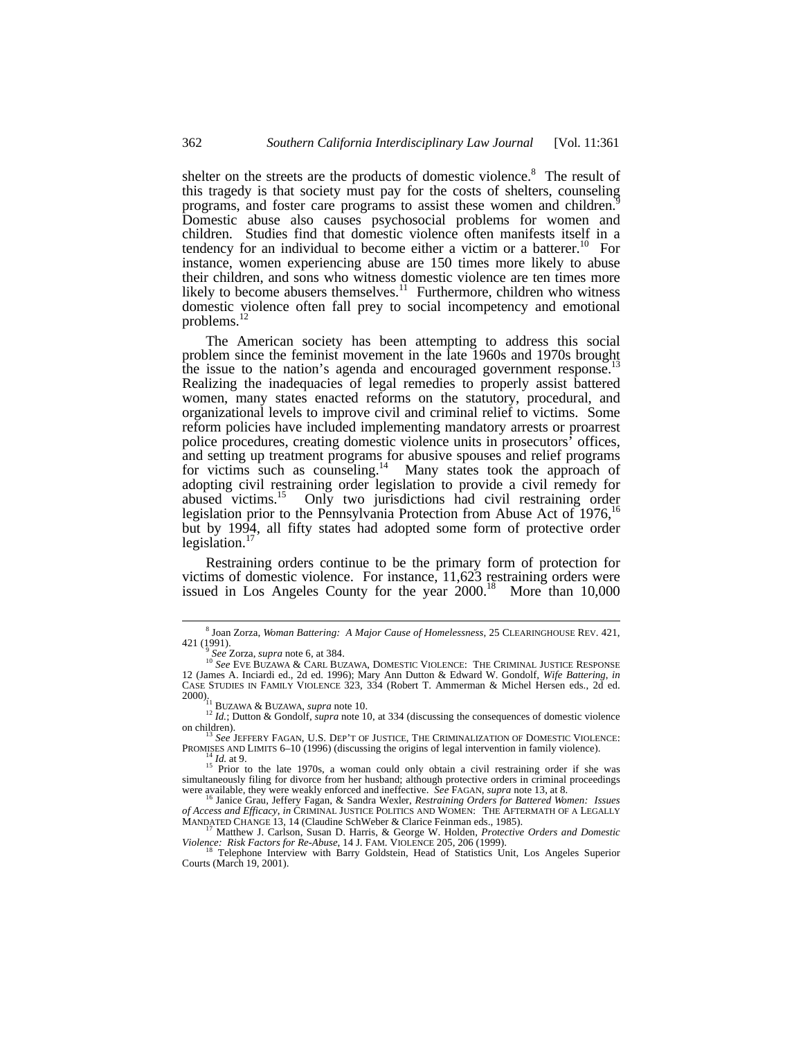shelter on the streets are the products of domestic violence.<sup>8</sup> The result of this tragedy is that society must pay for the costs of shelters, counseling programs, and foster care programs to assist these women and children.<sup>9</sup> Domestic abuse also causes psychosocial problems for women and children. Studies find that domestic violence often manifests itself in a tendency for an individual to become either a victim or a batterer.<sup>10</sup> For instance, women experiencing abuse are 150 times more likely to abuse their children, and sons who witness domestic violence are ten times more likely to become abusers themselves. $11$  Furthermore, children who witness domestic violence often fall prey to social incompetency and emotional problems.<sup>12</sup>

The American society has been attempting to address this social problem since the feminist movement in the late 1960s and 1970s brought the issue to the nation's agenda and encouraged government response.<sup>1</sup> Realizing the inadequacies of legal remedies to properly assist battered women, many states enacted reforms on the statutory, procedural, and organizational levels to improve civil and criminal relief to victims. Some reform policies have included implementing mandatory arrests or proarrest police procedures, creating domestic violence units in prosecutors' offices, and setting up treatment programs for abusive spouses and relief programs for victims such as counseling.<sup>14</sup> Many states took the approach of adopting civil restraining order legislation to provide a civil remedy for abused victims.<sup>15</sup> Only two jurisdictions had civil restraining order legislation prior to the Pennsylvania Protection from Abuse Act of  $1976$ ,<sup>16</sup> but by 1994, all fifty states had adopted some form of protective order legislation.<sup>1</sup>

Restraining orders continue to be the primary form of protection for victims of domestic violence. For instance, 11,623 restraining orders were issued in Los Angeles County for the year 2000.<sup>18</sup> More than 10,000

<sup>8</sup> Joan Zorza, *Woman Battering: A Major Cause of Homelessness*, 25 CLEARINGHOUSE REV. 421, 421 (1991).

<sup>9</sup> *See* Zorza, *supra* note 6, at 384. <sup>10</sup> *See* EVE BUZAWA & CARL BUZAWA, DOMESTIC VIOLENCE: THE CRIMINAL JUSTICE RESPONSE 12 (James A. Inciardi ed., 2d ed. 1996); Mary Ann Dutton & Edward W. Gondolf*, Wife Battering*, *in* CASE STUDIES IN FAMILY VIOLENCE 323, 334 (Robert T. Ammerman & Michel Hersen eds., 2d ed. 2000). <sup>11</sup> BUZAWA & BUZAWA, *supra* note 10.

<sup>&</sup>lt;sup>12</sup> *Id.*; Dutton & Gondolf, *supra* note 10, at 334 (discussing the consequences of domestic violence on children).

See JEFFERY FAGAN, U.S. DEP'T OF JUSTICE, THE CRIMINALIZATION OF DOMESTIC VIOLENCE: PROMISES AND LIMITS 6–10 (1996) (discussing the origins of legal intervention in family violence).

<sup>&</sup>lt;sup>14</sup> *Id.* at 9.<br><sup>15</sup> Prior to the late 1970s, a woman could only obtain a civil restraining order if she was simultaneously filing for divorce from her husband; although protective orders in criminal proceedings were available, they were weakly enforced and ineffective. *See* FAGAN, *supra* note 13, at 8.

<sup>16</sup> Janice Grau, Jeffery Fagan, & Sandra Wexler, *Restraining Orders for Battered Women: Issues of Access and Efficacy*, *in* CRIMINAL JUSTICE POLITICS AND WOMEN: THE AFTERMATH OF A LEGALLY MANDATED CHANGE 13, 14 (Claudine SchWeber & Clarice Feinman eds., 1985).

<sup>17</sup> Matthew J. Carlson, Susan D. Harris, & George W. Holden, *Protective Orders and Domestic Violence: Risk Factors for Re-Abuse*, 14 J. FAM. VIOLENCE 205, 206 (1999).

<sup>&</sup>lt;sup>18</sup> Telephone Interview with Barry Goldstein, Head of Statistics Unit, Los Angeles Superior<br>Courts (March 19, 2001).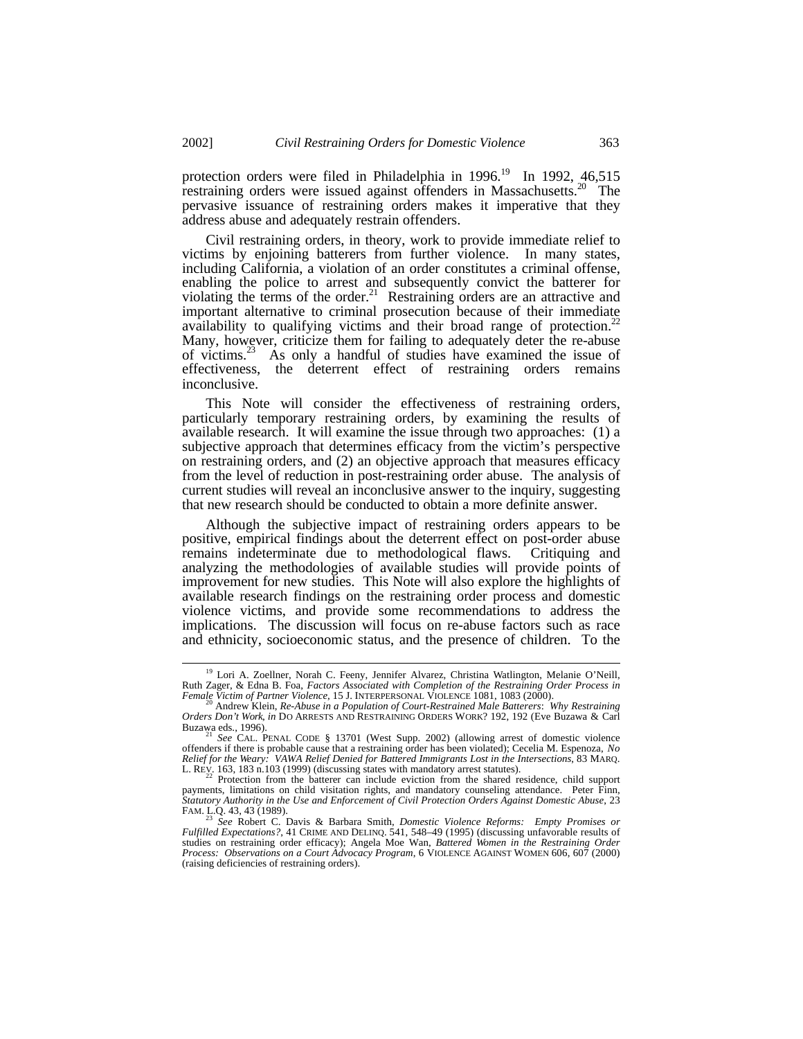protection orders were filed in Philadelphia in 1996.<sup>19</sup> In 1992,  $46,515$ restraining orders were issued against offenders in Massachusetts.<sup>20</sup> The pervasive issuance of restraining orders makes it imperative that they address abuse and adequately restrain offenders.

Civil restraining orders, in theory, work to provide immediate relief to victims by enjoining batterers from further violence. In many states, including California, a violation of an order constitutes a criminal offense, enabling the police to arrest and subsequently convict the batterer for violating the terms of the order.<sup>21</sup> Restraining orders are an attractive and important alternative to criminal prosecution because of their immediate availability to qualifying victims and their broad range of protection.<sup>22</sup> Many, however, criticize them for failing to adequately deter the re-abuse of victims.<sup>23</sup> As only a handful of studies have examined the issue of effectiveness, the deterrent effect of restraining orders remains inconclusive.

This Note will consider the effectiveness of restraining orders, particularly temporary restraining orders, by examining the results of available research. It will examine the issue through two approaches: (1) a subjective approach that determines efficacy from the victim's perspective on restraining orders, and (2) an objective approach that measures efficacy from the level of reduction in post-restraining order abuse. The analysis of current studies will reveal an inconclusive answer to the inquiry, suggesting that new research should be conducted to obtain a more definite answer.

Although the subjective impact of restraining orders appears to be positive, empirical findings about the deterrent effect on post-order abuse remains indeterminate due to methodological flaws. Critiquing and analyzing the methodologies of available studies will provide points of improvement for new studies. This Note will also explore the highlights of available research findings on the restraining order process and domestic violence victims, and provide some recommendations to address the implications. The discussion will focus on re-abuse factors such as race and ethnicity, socioeconomic status, and the presence of children. To the

<sup>&</sup>lt;sup>19</sup> Lori A. Zoellner, Norah C. Feeny, Jennifer Alvarez, Christina Watlington, Melanie O'Neill, Ruth Zager, & Edna B. Foa, *Factors Associated with Completion of the Restraining Order Process in Female Victim of Partner Violence*, 15 J. INTERPERSONAL VIOLENCE 1081, 1083 (2000).

<sup>20</sup> Andrew Klein, *Re-Abuse in a Population of Court-Restrained Male Batterers*: *Why Restraining Orders Don't Work*, *in* DO ARRESTS AND RESTRAINING ORDERS WORK? 192, 192 (Eve Buzawa & Carl Buzawa eds., 1996).

See CAL. PENAL CODE § 13701 (West Supp. 2002) (allowing arrest of domestic violence offenders if there is probable cause that a restraining order has been violated); Cecelia M. Espenoza, *No Relief for the Weary: VAWA Relief Denied for Battered Immigrants Lost in the Intersections*, 83 MARQ. L. REV. 163, 183 n.103 (1999) (discussing states with mandatory arrest statutes).<br><sup>22</sup> Protection from the batterer can include eviction from the shared residence, child support

payments, limitations on child visitation rights, and mandatory counseling attendance. Peter Finn, *Statutory Authority in the Use and Enforcement of Civil Protection Orders Against Domestic Abuse*, 23 FAM. L.Q. 43, 43 (1989).

<sup>&</sup>lt;sup>23</sup> See Robert C. Davis & Barbara Smith, *Domestic Violence Reforms: Empty Promises or* Fulfilled Expectations?, 41 CRIME AND DELINQ. 541, 548–49 (1995) (discussing unfavorable results of studies on restraining order efficacy); Angela Moe Wan, *Battered Women in the Restraining Order Process: Observations on a Court Advocacy Program*, 6 VIOLENCE AGAINST WOMEN 606, 607 (2000) (raising deficiencies of restraining orders).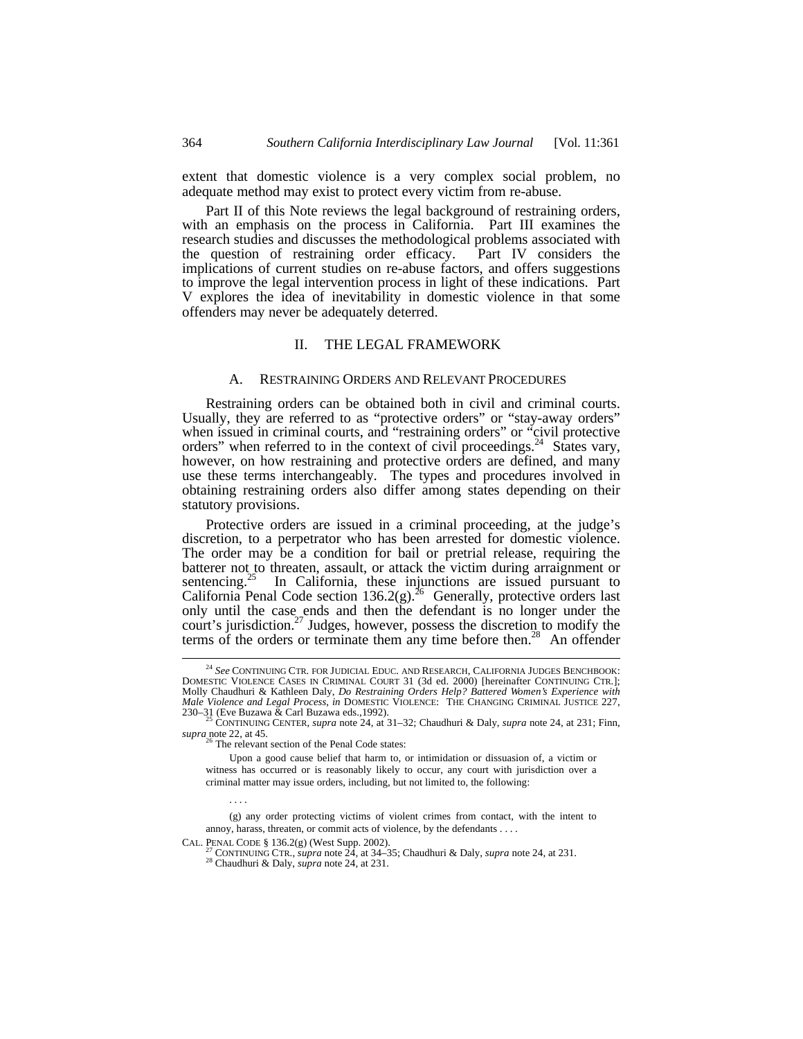extent that domestic violence is a very complex social problem, no adequate method may exist to protect every victim from re-abuse.

Part II of this Note reviews the legal background of restraining orders, with an emphasis on the process in California. Part III examines the research studies and discusses the methodological problems associated with the question of restraining order efficacy. Part IV considers the implications of current studies on re-abuse factors, and offers suggestions to improve the legal intervention process in light of these indications. Part V explores the idea of inevitability in domestic violence in that some offenders may never be adequately deterred.

#### II. THE LEGAL FRAMEWORK

#### A. RESTRAINING ORDERS AND RELEVANT PROCEDURES

Restraining orders can be obtained both in civil and criminal courts. Usually, they are referred to as "protective orders" or "stay-away orders" when issued in criminal courts, and "restraining orders" or "civil protective orders" when referred to in the context of civil proceedings.<sup>24</sup> States vary, however, on how restraining and protective orders are defined, and many use these terms interchangeably. The types and procedures involved in obtaining restraining orders also differ among states depending on their statutory provisions.

Protective orders are issued in a criminal proceeding, at the judge's discretion, to a perpetrator who has been arrested for domestic violence. The order may be a condition for bail or pretrial release, requiring the batterer not to threaten, assault, or attack the victim during arraignment or sentencing. $25$  In California, these injunctions are issued pursuant to California Penal Code section 136.2(g).<sup>26</sup> Generally, protective orders last only until the case ends and then the defendant is no longer under the court's jurisdiction.<sup>27</sup> Judges, however, possess the discretion to modify the terms of the orders or terminate them any time before then.<sup>28</sup> An offender

CAL. PENAL CODE § 136.2(g) (West Supp. 2002).

. . . .

<sup>24</sup> *See* CONTINUING CTR. FOR JUDICIAL EDUC. AND RESEARCH, CALIFORNIA JUDGES BENCHBOOK: DOMESTIC VIOLENCE CASES IN CRIMINAL COURT 31 (3d ed. 2000) [hereinafter CONTINUING CTR.]; Molly Chaudhuri & Kathleen Daly, *Do Restraining Orders Help? Battered Women's Experience with Male Violence and Legal Process*, *in* DOMESTIC VIOLENCE: THE CHANGING CRIMINAL JUSTICE 227,

<sup>230–31 (</sup>Eve Buzawa & Carl Buzawa eds.,1992). <sup>25</sup> CONTINUING CENTER, *supra* note 24, at 31–32; Chaudhuri & Daly, *supra* note 24, at 231; Finn, *supra* note 22, at 45.

<sup>&</sup>lt;sup>6</sup> The relevant section of the Penal Code states:

Upon a good cause belief that harm to, or intimidation or dissuasion of, a victim or witness has occurred or is reasonably likely to occur, any court with jurisdiction over a criminal matter may issue orders, including, but not limited to, the following:

<sup>(</sup>g) any order protecting victims of violent crimes from contact, with the intent to annoy, harass, threaten, or commit acts of violence, by the defendants . . . .

<sup>27</sup> CONTINUING CTR., *supra* note 24, at 34–35; Chaudhuri & Daly, *supra* note 24, at 231. <sup>28</sup> Chaudhuri & Daly, *supra* note 24, at 231.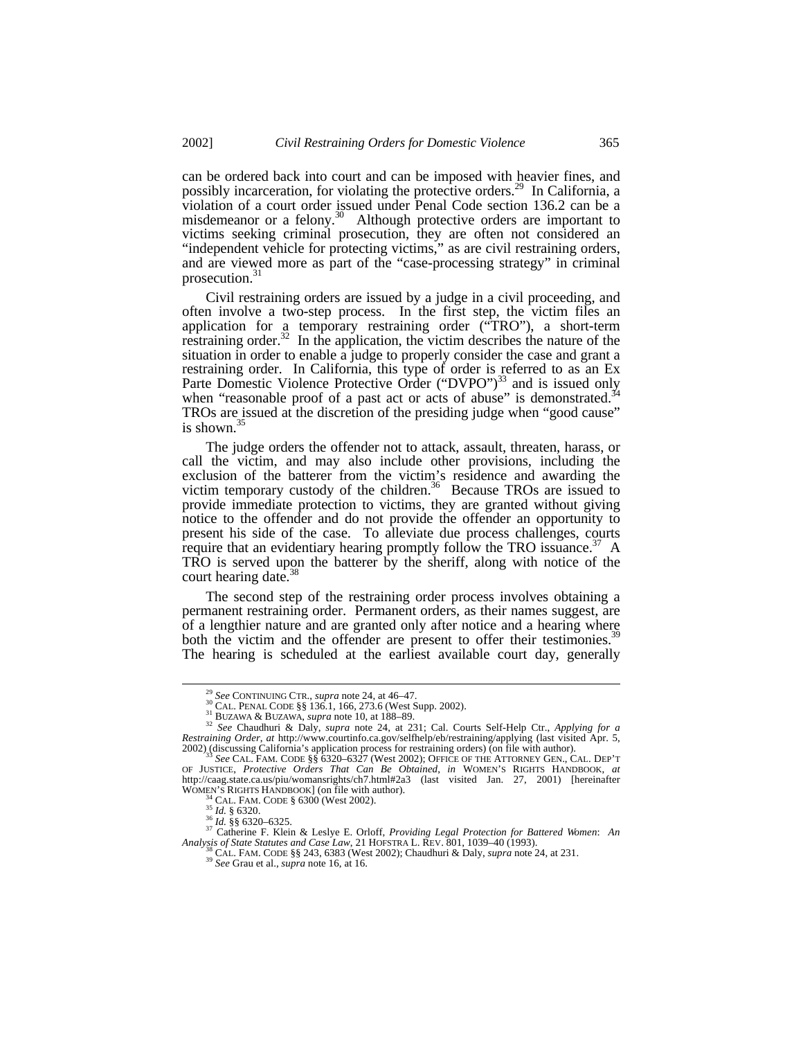can be ordered back into court and can be imposed with heavier fines, and possibly incarceration, for violating the protective orders.<sup>29</sup> In California, a violation of a court order issued under Penal Code section 136.2 can be a misdemeanor or a felony. $30$  Although protective orders are important to victims seeking criminal prosecution, they are often not considered an "independent vehicle for protecting victims," as are civil restraining orders, and are viewed more as part of the "case-processing strategy" in criminal prosecution. $31$ 

Civil restraining orders are issued by a judge in a civil proceeding, and often involve a two-step process. In the first step, the victim files an application for a temporary restraining order ("TRO"), a short-term restraining order.<sup>32</sup> In the application, the victim describes the nature of the situation in order to enable a judge to properly consider the case and grant a restraining order. In California, this type of order is referred to as an Ex Parte Domestic Violence Protective Order ("DVPO")<sup>33</sup> and is issued only when "reasonable proof of a past act or acts of abuse" is demonstrated.<sup>34</sup> TROs are issued at the discretion of the presiding judge when "good cause" is shown. $35$ 

The judge orders the offender not to attack, assault, threaten, harass, or call the victim, and may also include other provisions, including the exclusion of the batterer from the victim's residence and awarding the victim temporary custody of the children.<sup>36</sup> Because TROs are issued to provide immediate protection to victims, they are granted without giving notice to the offender and do not provide the offender an opportunity to present his side of the case. To alleviate due process challenges, courts require that an evidentiary hearing promptly follow the TRO issuance.<sup>37</sup> A TRO is served upon the batterer by the sheriff, along with notice of the court hearing date.<sup>38</sup>

The second step of the restraining order process involves obtaining a permanent restraining order. Permanent orders, as their names suggest, are of a lengthier nature and are granted only after notice and a hearing where both the victim and the offender are present to offer their testimonies.<sup>39</sup> The hearing is scheduled at the earliest available court day, generally

<sup>&</sup>lt;sup>29</sup> *See* CONTINUING CTR., *supra* note 24, at 46–47.<br><sup>30</sup> CAL. PENAL CODE §§ 136.1, 166, 273.6 (West Supp. 2002).

<sup>31</sup> BUZAWA & BUZAWA, *supra* note 10, at 188–89.

<sup>&</sup>lt;sup>32</sup> See Chaudhuri & Daly, *supra* note 24, at 231; Cal. Courts Self-Help Ctr., *Applying for a Restraining Order*, *at* http://www.courtinfo.ca.gov/selfhelp/eb/restraining/applying (last visited Apr. 5, 2002) (discussing California's application process for restraining orders) (on file with author).

<sup>&</sup>lt;sup>33</sup> See CAL. FAM. CODE §§ 6320–6327 (West 2002); OFFICE OF THE ATTORNEY GEN., CAL. DEP'T<br>OF JUSTICE, *Protective Orders That Can Be Obtained*, *in* WOMEN'S RIGHTS HANDBOOK, *at*<br>http://caag.state.ca.us/piu/womansrights/c WOMEN'S RIGHTS HANDBOOK] (on file with author).<br><sup>34</sup> CAL. FAM. CODE § 6300 (West 2002).

<sup>35</sup> *Id.* § 6320.

<sup>36</sup> *Id.* §§ 6320–6325. <sup>37</sup> Catherine F. Klein & Leslye E. Orloff, *Providing Legal Protection for Battered Women*: *An Analysis of State Statutes and Case Law*, 21 HOFSTRA L. REV. 801, 1039–40 (1993). Analysis of State Statutes and Case Law, 21 HOFSTRA L. REV. 801, 1039–40 (1993).<br><sup>38</sup> CAL. FAM. CODE §§ 243, 6383 (West 2002); Chaudhuri & Daly, *supra* note 24, at 231.

<sup>39</sup> *See* Grau et al., *supra* note 16, at 16.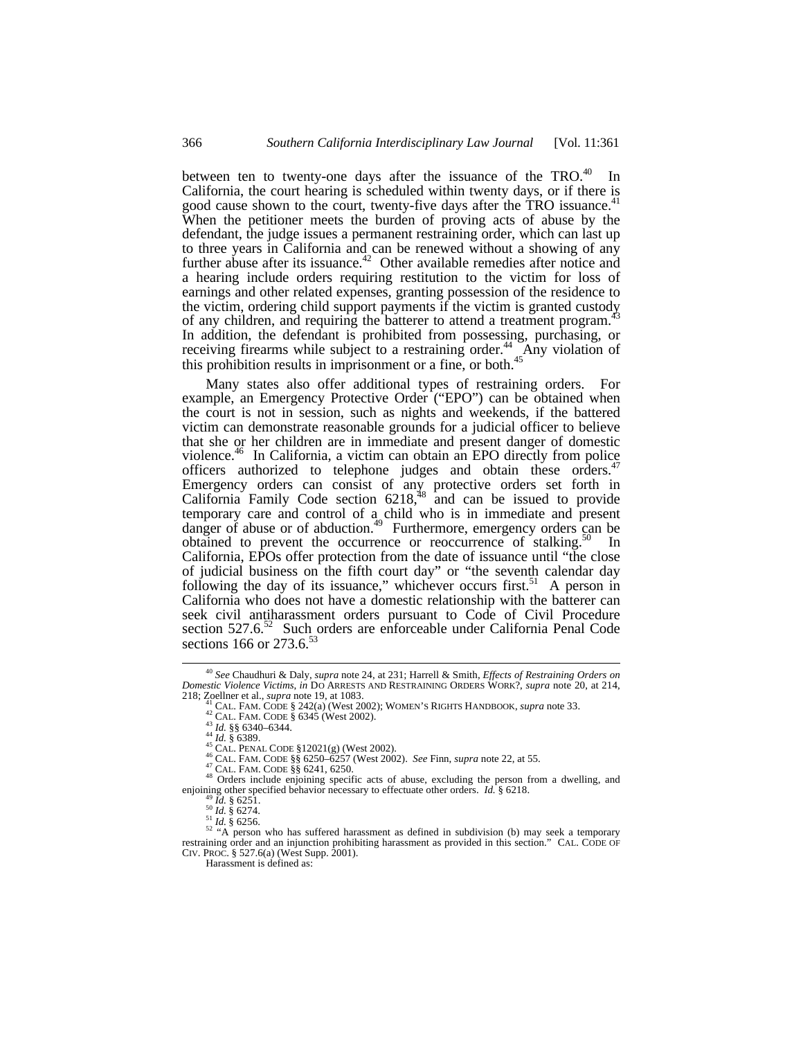between ten to twenty-one days after the issuance of the  $TRO<sup>40</sup>$  In California, the court hearing is scheduled within twenty days, or if there is good cause shown to the court, twenty-five days after the TRO issuance.<sup>41</sup> When the petitioner meets the burden of proving acts of abuse by the defendant, the judge issues a permanent restraining order, which can last up to three years in California and can be renewed without a showing of any further abuse after its issuance. $42^{\circ}$  Other available remedies after notice and a hearing include orders requiring restitution to the victim for loss of earnings and other related expenses, granting possession of the residence to the victim, ordering child support payments if the victim is granted custody of any children, and requiring the batterer to attend a treatment program.<sup>4</sup> In addition, the defendant is prohibited from possessing, purchasing, or receiving firearms while subject to a restraining order.<sup>44</sup> Any violation of this prohibition results in imprisonment or a fine, or both. $45$ 

Many states also offer additional types of restraining orders. For example, an Emergency Protective Order ("EPO") can be obtained when the court is not in session, such as nights and weekends, if the battered victim can demonstrate reasonable grounds for a judicial officer to believe that she or her children are in immediate and present danger of domestic violence.<sup>46</sup> In California, a victim can obtain an EPO directly from police officers authorized to telephone judges and obtain these orders.<sup>47</sup> Emergency orders can consist of any protective orders set forth in California Family Code section  $6218$ <sup>48</sup> and can be issued to provide temporary care and control of a child who is in immediate and present danger of abuse or of abduction.<sup>49</sup> Furthermore, emergency orders can be obtained to prevent the occurrence or reoccurrence of stalking. $50 \text{ In}$ California, EPOs offer protection from the date of issuance until "the close of judicial business on the fifth court day" or "the seventh calendar day following the day of its issuance," whichever occurs first. $51$  A person in California who does not have a domestic relationship with the batterer can seek civil antiharassment orders pursuant to Code of Civil Procedure section 527.6.<sup>52</sup> Such orders are enforceable under California Penal Code sections 166 or 273.6.<sup>53</sup>

<sup>40</sup> *See* Chaudhuri & Daly, *supra* note 24, at 231; Harrell & Smith, *Effects of Restraining Orders on Domestic Violence Victims*, *in* DO ARRESTS AND RESTRAINING ORDERS WORK?, *supra* note 20, at 214, 218; Zoellner et al., *supra* note 19, at 1083.

CAL. FAM. CODE § 242(a) (West 2002); WOMEN'S RIGHTS HANDBOOK, *supra* note 33.

<sup>42</sup> CAL. FAM. CODE § 6345 (West 2002).

<sup>43</sup> *Id.* §§ 6340–6344. <sup>44</sup> *Id.* § 6389. <sup>45</sup> CAL. PENAL CODE §12021(g) (West 2002).

<sup>46</sup> CAL. FAM. CODE §§ 6250–6257 (West 2002). *See* Finn, *supra* note 22, at 55.

<sup>47</sup> CAL. FAM. CODE §§ 6241, 6250.

<sup>48</sup> Orders include enjoining specific acts of abuse, excluding the person from a dwelling, and enjoining other specified behavior necessary to effectuate other orders. *Id.* § 6218.

<sup>49</sup> *Id.* § 6251. <sup>50</sup> *Id.* § 6274.

<sup>51</sup> *Id.* § 6256. <sup>52</sup> "A person who has suffered harassment as defined in subdivision (b) may seek a temporary restraining order and an injunction prohibiting harassment as provided in this section." CAL. CODE OF CIV. PROC. § 527.6(a) (West Supp. 2001).

Harassment is defined as: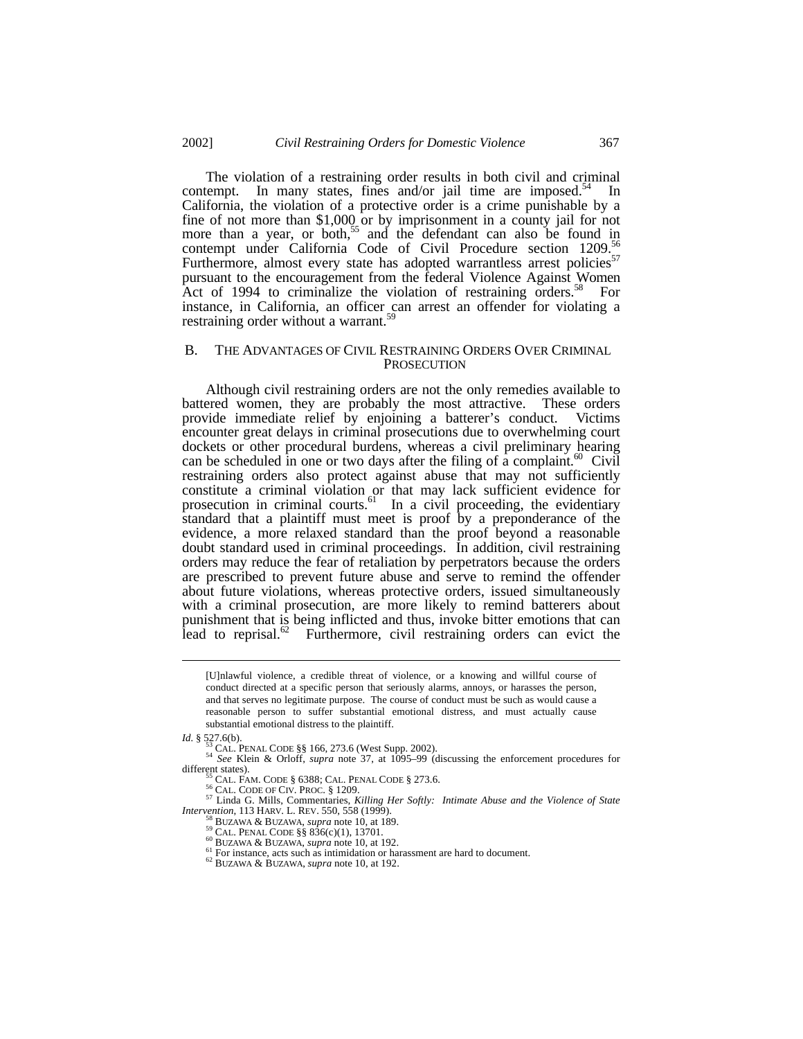The violation of a restraining order results in both civil and criminal contempt. In many states, fines and/or jail time are imposed. $54$  In California, the violation of a protective order is a crime punishable by a fine of not more than \$1,000 or by imprisonment in a county jail for not more than a year, or both,<sup>55</sup> and the defendant can also be found in contempt under California Code of Civil Procedure section 1209.<sup>56</sup> Furthermore, almost every state has adopted warrantless arrest policies<sup>57</sup> pursuant to the encouragement from the federal Violence Against Women Act of 1994 to criminalize the violation of restraining orders.<sup>58</sup> For instance, in California, an officer can arrest an offender for violating a restraining order without a warrant.<sup>59</sup>

#### B. THE ADVANTAGES OF CIVIL RESTRAINING ORDERS OVER CRIMINAL **PROSECUTION**

Although civil restraining orders are not the only remedies available to battered women, they are probably the most attractive. These orders provide immediate relief by enjoining a batterer's conduct. Victims encounter great delays in criminal prosecutions due to overwhelming court dockets or other procedural burdens, whereas a civil preliminary hearing can be scheduled in one or two days after the filing of  $\hat{a}$  complaint.<sup>60</sup> Civil restraining orders also protect against abuse that may not sufficiently constitute a criminal violation or that may lack sufficient evidence for prosecution in criminal courts.<sup>61</sup> In a civil proceeding, the evidentiary standard that a plaintiff must meet is proof by a preponderance of the evidence, a more relaxed standard than the proof beyond a reasonable doubt standard used in criminal proceedings. In addition, civil restraining orders may reduce the fear of retaliation by perpetrators because the orders are prescribed to prevent future abuse and serve to remind the offender about future violations, whereas protective orders, issued simultaneously with a criminal prosecution, are more likely to remind batterers about punishment that is being inflicted and thus, invoke bitter emotions that can lead to reprisal. $62$  Furthermore, civil restraining orders can evict the

-

<sup>57</sup> Linda G. Mills, Commentaries, *Killing Her Softly: Intimate Abuse and the Violence of State Intervention*, 113 HARV. L. REV. 550, 558 (1999).

<sup>[</sup>U]nlawful violence, a credible threat of violence, or a knowing and willful course of conduct directed at a specific person that seriously alarms, annoys, or harasses the person, and that serves no legitimate purpose. The course of conduct must be such as would cause a reasonable person to suffer substantial emotional distress, and must actually cause substantial emotional distress to the plaintiff.

*Id.* § 527.6(b).

<sup>53</sup> CAL. PENAL CODE §§ 166, 273.6 (West Supp. 2002).

<sup>54</sup> *See* Klein & Orloff, *supra* note 37, at 1095–99 (discussing the enforcement procedures for different states).

 $\overline{5}$  CAL. FAM. CODE § 6388; CAL. PENAL CODE § 273.6.

<sup>56</sup> CAL. CODE OF CIV. PROC. § 1209.

<sup>58</sup> BUZAWA & BUZAWA, *supra* note 10, at 189. <sup>59</sup> CAL. PENAL CODE §§ 836(c)(1), 13701.

<sup>60</sup> BUZAWA & BUZAWA, *supra* note 10, at 192.

<sup>&</sup>lt;sup>61</sup> For instance, acts such as intimidation or harassment are hard to document.

<sup>62</sup> BUZAWA & BUZAWA, *supra* note 10, at 192.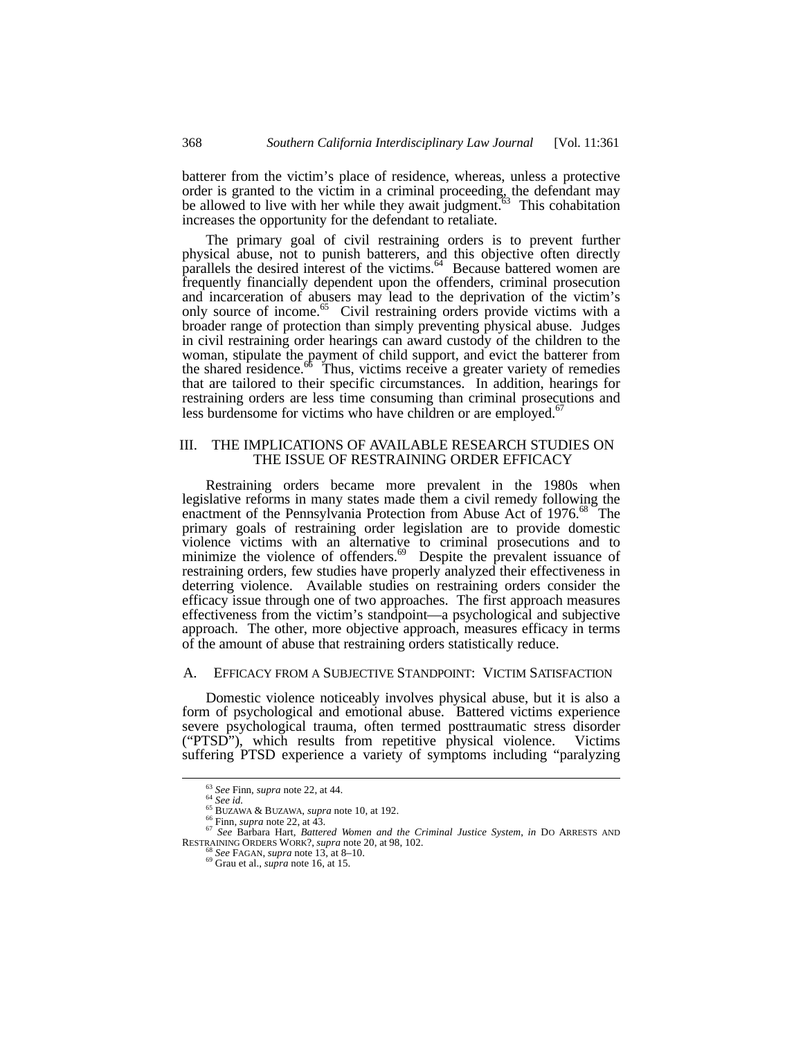batterer from the victim's place of residence, whereas, unless a protective order is granted to the victim in a criminal proceeding, the defendant may be allowed to live with her while they await judgment.<sup>63</sup> This cohabitation increases the opportunity for the defendant to retaliate.

The primary goal of civil restraining orders is to prevent further physical abuse, not to punish batterers, and this objective often directly parallels the desired interest of the victims.<sup>64</sup> Because battered women are frequently financially dependent upon the offenders, criminal prosecution and incarceration of abusers may lead to the deprivation of the victim's only source of income.<sup>65</sup> Civil restraining orders provide victims with a broader range of protection than simply preventing physical abuse. Judges in civil restraining order hearings can award custody of the children to the woman, stipulate the payment of child support, and evict the batterer from the shared residence.<sup>66</sup> Thus, victims receive a greater variety of remedies that are tailored to their specific circumstances. In addition, hearings for restraining orders are less time consuming than criminal prosecutions and less burdensome for victims who have children or are employed.<sup>67</sup>

#### III. THE IMPLICATIONS OF AVAILABLE RESEARCH STUDIES ON THE ISSUE OF RESTRAINING ORDER EFFICACY

Restraining orders became more prevalent in the 1980s when legislative reforms in many states made them a civil remedy following the enactment of the Pennsylvania Protection from Abuse Act of 1976.<sup>68</sup> The primary goals of restraining order legislation are to provide domestic violence victims with an alternative to criminal prosecutions and to minimize the violence of offenders. $69$  Despite the prevalent issuance of restraining orders, few studies have properly analyzed their effectiveness in deterring violence. Available studies on restraining orders consider the efficacy issue through one of two approaches. The first approach measures effectiveness from the victim's standpoint—a psychological and subjective approach. The other, more objective approach, measures efficacy in terms of the amount of abuse that restraining orders statistically reduce.

# A. EFFICACY FROM A SUBJECTIVE STANDPOINT: VICTIM SATISFACTION

Domestic violence noticeably involves physical abuse, but it is also a form of psychological and emotional abuse. Battered victims experience severe psychological trauma, often termed posttraumatic stress disorder ("PTSD"), which results from repetitive physical violence. Victims suffering PTSD experience a variety of symptoms including "paralyzing

<sup>63</sup> *See* Finn, *supra* note 22, at 44. <sup>64</sup> *See id.*

<sup>65</sup> BUZAWA & BUZAWA, *supra* note 10, at 192.

<sup>66</sup> Finn, *supra* note 22, at 43. <sup>67</sup> *See* Barbara Hart, *Battered Women and the Criminal Justice System*, *in* DO ARRESTS AND RESTRAINING ORDERS WORK?, *supra* note 20, at 98, 102.

<sup>68</sup> *See* FAGAN, *supra* note 13, at 8–10. <sup>69</sup> Grau et al., *supra* note 16, at 15.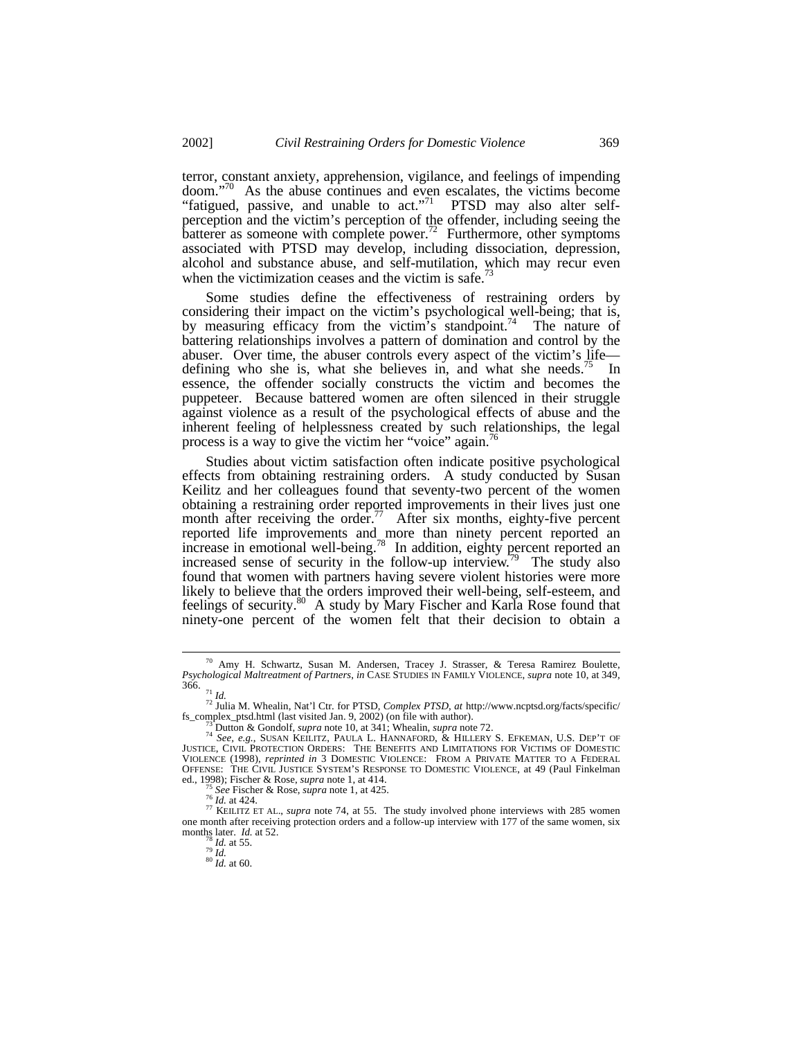terror, constant anxiety, apprehension, vigilance, and feelings of impending doom."<sup>70</sup> As the abuse continues and even escalates, the victims become "fatigued, passive, and unable to  $act.^{71}$  PTSD may also alter selfperception and the victim's perception of the offender, including seeing the batterer as someone with complete power.<sup>72</sup> Furthermore, other symptoms associated with PTSD may develop, including dissociation, depression, alcohol and substance abuse, and self-mutilation, which may recur even when the victimization ceases and the victim is safe.<sup>73</sup>

Some studies define the effectiveness of restraining orders by considering their impact on the victim's psychological well-being; that is, by measuring efficacy from the victim's standpoint.<sup>74</sup> The nature of battering relationships involves a pattern of domination and control by the abuser. Over time, the abuser controls every aspect of the victim's life defining who she is, what she believes in, and what she needs.<sup> $\degree$ </sup> In essence, the offender socially constructs the victim and becomes the puppeteer. Because battered women are often silenced in their struggle against violence as a result of the psychological effects of abuse and the inherent feeling of helplessness created by such relationships, the legal process is a way to give the victim her "voice" again.<sup>76</sup>

Studies about victim satisfaction often indicate positive psychological effects from obtaining restraining orders. A study conducted by Susan Keilitz and her colleagues found that seventy-two percent of the women obtaining a restraining order reported improvements in their lives just one month after receiving the order.<sup>77</sup> After six months, eighty-five percent reported life improvements and more than ninety percent reported an increase in emotional well-being.<sup>78</sup> In addition, eighty percent reported an increased sense of security in the follow-up interview.<sup>79</sup> The study also found that women with partners having severe violent histories were more likely to believe that the orders improved their well-being, self-esteem, and feelings of security.<sup>80</sup> A study by Mary Fischer and Karla Rose found that ninety-one percent of the women felt that their decision to obtain a

-

<sup>75</sup> *See* Fischer & Rose, *supra* note 1, at 425.

<sup>70</sup> Amy H. Schwartz, Susan M. Andersen, Tracey J. Strasser, & Teresa Ramirez Boulette, *Psychological Maltreatment of Partners*, *in* CASE STUDIES IN FAMILY VIOLENCE, *supra* note 10, at 349, 366.

<sup>71</sup> *Id.*

<sup>72</sup> Julia M. Whealin, Nat'l Ctr. for PTSD, *Complex PTSD*, *at* http://www.ncptsd.org/facts/specific/ fs\_complex\_ptsd.html (last visited Jan. 9, 2002) (on file with author).

<sup>73</sup> Dutton & Gondolf, *supra* note 10, at 341; Whealin, *supra* note 72. <sup>74</sup> *See, e.g.*, SUSAN KEILITZ, PAULA L. HANNAFORD, & HILLERY S. EFKEMAN, U.S. DEP'T OF JUSTICE, CIVIL PROTECTION ORDERS: THE BENEFITS AND LIMITATIONS FOR VICTIMS OF DOMESTIC VIOLENCE (1998), *reprinted in* 3 DOMESTIC VIOLENCE: FROM A PRIVATE MATTER TO A FEDERAL OFFENSE: THE CIVIL JUSTICE SYSTEM'S RESPONSE TO DOMESTIC VIOLENCE, at 49 (Paul Finkelman ed., 1998); Fischer & Rose, *supra* note 1, at 414.

<sup>76</sup> *Id.* at 424.

<sup>&</sup>lt;sup>77</sup> KEILITZ ET AL., *supra* note 74, at 55. The study involved phone interviews with 285 women one month after receiving protection orders and a follow-up interview with 177 of the same women, six months later. *Id.* at 52. <sup>78</sup> *Id.* at 55.

<sup>79</sup> *Id.* <sup>80</sup> *Id.* at 60.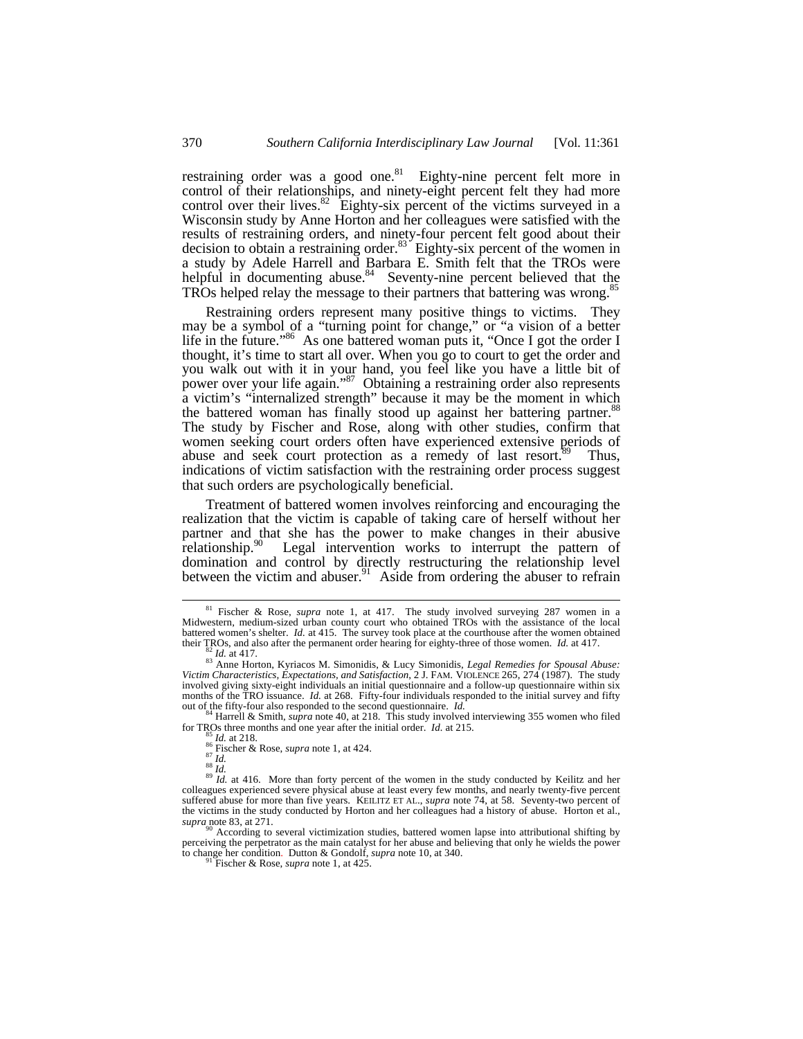restraining order was a good one.<sup>81</sup> Eighty-nine percent felt more in control of their relationships, and ninety-eight percent felt they had more control over their lives. $82$  Eighty-six percent of the victims surveyed in a Wisconsin study by Anne Horton and her colleagues were satisfied with the results of restraining orders, and ninety-four percent felt good about their decision to obtain a restraining order. $83$  Eighty-six percent of the women in a study by Adele Harrell and Barbara E. Smith felt that the TROs were helpful in documenting abuse.<sup>84</sup> Seventy-nine percent believed that the TROs helped relay the message to their partners that battering was wrong.<sup>8</sup>

Restraining orders represent many positive things to victims. They may be a symbol of a "turning point for change," or "a vision of a better life in the future."<sup>86</sup> As one battered woman puts it, "Once I got the order I thought, it's time to start all over. When you go to court to get the order and you walk out with it in your hand, you feel like you have a little bit of power over your life again."<sup>87</sup> Obtaining a restraining order also represents a victim's "internalized strength" because it may be the moment in which the battered woman has finally stood up against her battering partner.<sup>88</sup> The study by Fischer and Rose, along with other studies, confirm that women seeking court orders often have experienced extensive periods of abuse and seek court protection as a remedy of last resort. $89$  Thus, indications of victim satisfaction with the restraining order process suggest that such orders are psychologically beneficial.

Treatment of battered women involves reinforcing and encouraging the realization that the victim is capable of taking care of herself without her partner and that she has the power to make changes in their abusive relationship.<sup>90</sup> Legal intervention works to interrupt the pattern of domination and control by directly restructuring the relationship level between the victim and abuser.<sup>91</sup> Aside from ordering the abuser to refrain

-

<sup>84</sup> Harrell & Smith, *supra* note 40, at 218. This study involved interviewing 355 women who filed for TROs three months and one year after the initial order. *Id.* at 215. *Id.* at 218.

<sup>81</sup> Fischer & Rose, *supra* note 1, at 417. The study involved surveying 287 women in a Midwestern, medium-sized urban county court who obtained TROs with the assistance of the local battered women's shelter. *Id.* at 415. The survey took place at the courthouse after the women obtained their TROs, and also after the permanent order hearing for eighty-three of those women. *Id.* at 417.

<sup>82</sup> *Id.* at 417.

<sup>83</sup> Anne Horton, Kyriacos M. Simonidis, & Lucy Simonidis, *Legal Remedies for Spousal Abuse: Victim Characteristics, Expectations, and Satisfaction*, 2 J. FAM. VIOLENCE 265, 274 (1987). The study involved giving sixty-eight individuals an initial questionnaire and a follow-up questionnaire within six months of the TRO issuance. *Id.* at 268. Fifty-four individuals responded to the initial survey and fifty out of the fifty-four also responded to the second questionnaire. *Id.*

<sup>85</sup> *Id.* at 218. <sup>86</sup> Fischer & Rose, *supra* note 1, at 424.

<sup>&</sup>lt;sup>87</sup> *Id.*<br><sup>88</sup> *Id.*<br><sup>89</sup> *Id.* at 416. More than forty percent of the women in the study conducted by Keilitz and her colleagues experienced severe physical abuse at least every few months, and nearly twenty-five percent suffered abuse for more than five years. KEILITZ ET AL., *supra* note 74, at 58. Seventy-two percent of the victims in the study conducted by Horton and her colleagues had a history of abuse. Horton et al., *supra* note 83, at 271.

According to several victimization studies, battered women lapse into attributional shifting by perceiving the perpetrator as the main catalyst for her abuse and believing that only he wields the power to change her condition. Dutton & Gondolf, *supra* note 10, at 340.

<sup>91</sup> Fischer & Rose, *supra* note 1, at 425.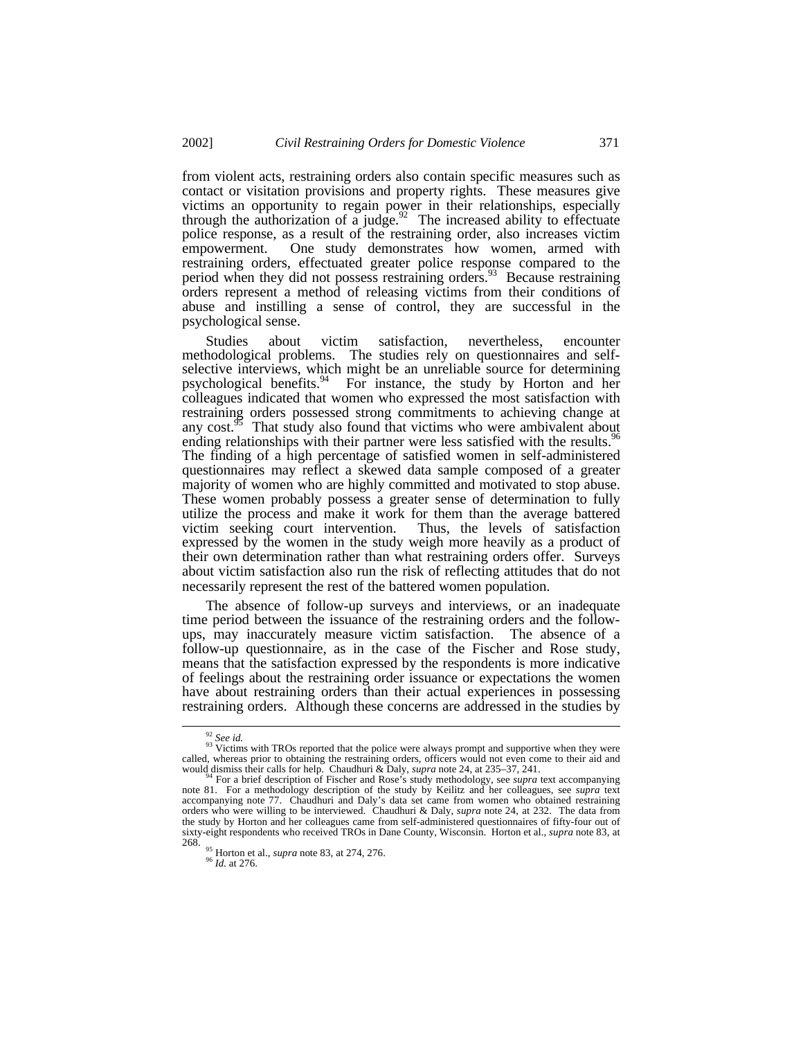from violent acts, restraining orders also contain specific measures such as contact or visitation provisions and property rights. These measures give victims an opportunity to regain power in their relationships, especially through the authorization of a judge.<sup>92</sup> The increased ability to effectuate police response, as a result of the restraining order, also increases victim empowerment. One study demonstrates how women, armed with restraining orders, effectuated greater police response compared to the period when they did not possess restraining orders.<sup>93</sup> Because restraining orders represent a method of releasing victims from their conditions of abuse and instilling a sense of control, they are successful in the psychological sense.

Studies about victim satisfaction, nevertheless, encounter methodological problems. The studies rely on questionnaires and selfselective interviews, which might be an unreliable source for determining psychological benefits.  $94$  For instance, the study by Horton and her For instance, the study by Horton and her colleagues indicated that women who expressed the most satisfaction with restraining orders possessed strong commitments to achieving change at any  $cost^{95}$ . That study also found that victims who were ambivalent about ending relationships with their partner were less satisfied with the results.<sup>96</sup> The finding of a high percentage of satisfied women in self-administered questionnaires may reflect a skewed data sample composed of a greater majority of women who are highly committed and motivated to stop abuse. These women probably possess a greater sense of determination to fully utilize the process and make it work for them than the average battered victim seeking court intervention. Thus, the levels of satisfaction expressed by the women in the study weigh more heavily as a product of their own determination rather than what restraining orders offer. Surveys about victim satisfaction also run the risk of reflecting attitudes that do not necessarily represent the rest of the battered women population.

The absence of follow-up surveys and interviews, or an inadequate time period between the issuance of the restraining orders and the followups, may inaccurately measure victim satisfaction. The absence of a follow-up questionnaire, as in the case of the Fischer and Rose study, means that the satisfaction expressed by the respondents is more indicative of feelings about the restraining order issuance or expectations the women have about restraining orders than their actual experiences in possessing restraining orders. Although these concerns are addressed in the studies by

<sup>92</sup> *See id.*

 $93\,\text{V}$  Victims with TROs reported that the police were always prompt and supportive when they were called, whereas prior to obtaining the restraining orders, officers would not even come to their aid and would dismiss their calls for help. Chaudhuri & Daly, *supra* note 24, at 235–37, 241.<br><sup>94</sup> For a brief description o

note 81. For a methodology description of the study by Keilitz and her colleagues, see *supra* text accompanying note 77. Chaudhuri and Daly's data set came from women who obtained restraining orders who were willing to be interviewed. Chaudhuri & Daly, *supra* note 24, at 232. The data from the study by Horton and her colleagues came from self-administered questionnaires of fifty-four out of sixty-eight respondents who received TROs in Dane County, Wisconsin. Horton et al., *supra* note 83, at 268.

<sup>95</sup> Horton et al., *supra* note 83, at 274, 276.

<sup>96</sup> *Id.* at 276.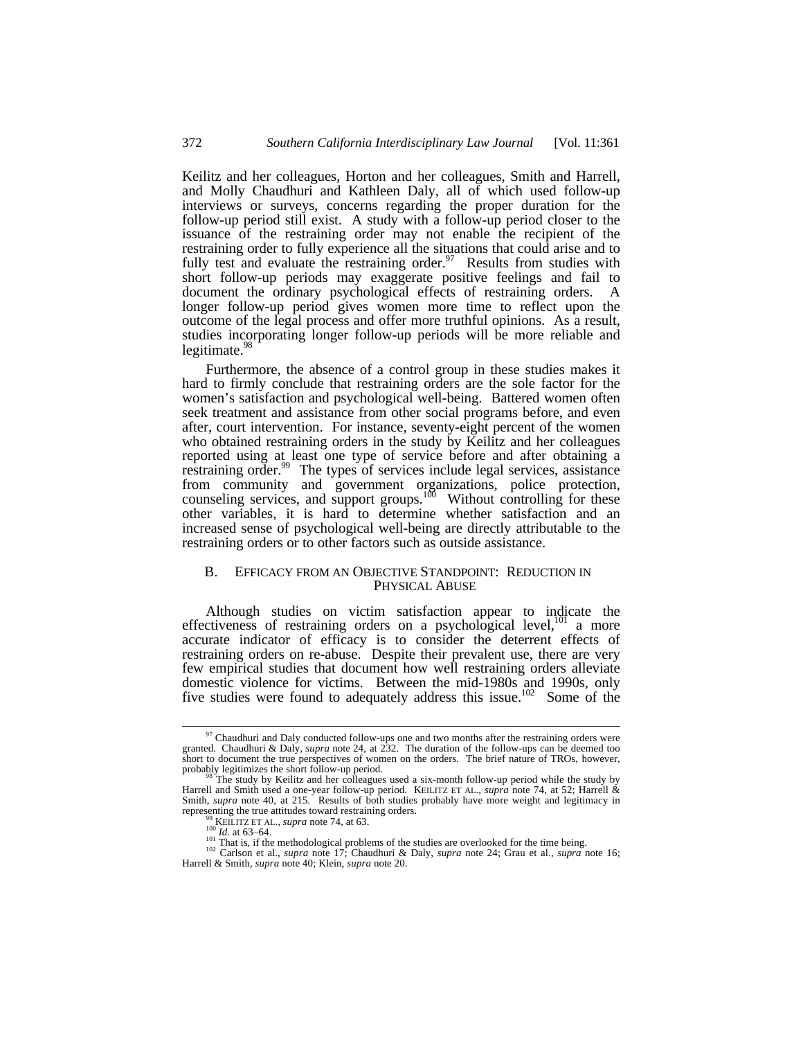Keilitz and her colleagues, Horton and her colleagues, Smith and Harrell, and Molly Chaudhuri and Kathleen Daly, all of which used follow-up interviews or surveys, concerns regarding the proper duration for the follow-up period still exist. A study with a follow-up period closer to the issuance of the restraining order may not enable the recipient of the restraining order to fully experience all the situations that could arise and to fully test and evaluate the restraining order.<sup>97</sup> Results from studies with short follow-up periods may exaggerate positive feelings and fail to document the ordinary psychological effects of restraining orders. A longer follow-up period gives women more time to reflect upon the outcome of the legal process and offer more truthful opinions. As a result, studies incorporating longer follow-up periods will be more reliable and legitimate. $\frac{98}{3}$ 

Furthermore, the absence of a control group in these studies makes it hard to firmly conclude that restraining orders are the sole factor for the women's satisfaction and psychological well-being. Battered women often seek treatment and assistance from other social programs before, and even after, court intervention. For instance, seventy-eight percent of the women who obtained restraining orders in the study by Keilitz and her colleagues reported using at least one type of service before and after obtaining a restraining order.<sup>99</sup> The types of services include legal services, assistance from community and government organizations, police protection, counseling services, and support groups.<sup>100</sup> Without controlling for these other variables, it is hard to determine whether satisfaction and an increased sense of psychological well-being are directly attributable to the restraining orders or to other factors such as outside assistance.

## B. EFFICACY FROM AN OBJECTIVE STANDPOINT: REDUCTION IN PHYSICAL ABUSE

Although studies on victim satisfaction appear to indicate the effectiveness of restraining orders on a psychological level, $^{101}$  a more accurate indicator of efficacy is to consider the deterrent effects of restraining orders on re-abuse. Despite their prevalent use, there are very few empirical studies that document how well restraining orders alleviate domestic violence for victims. Between the mid-1980s and 1990s, only five studies were found to adequately address this issue.<sup>102</sup> Some of the

 $97$  Chaudhuri and Daly conducted follow-ups one and two months after the restraining orders were granted. Chaudhuri & Daly, *supra* note 24, at 232. The duration of the follow-ups can be deemed too short to document the true perspectives of women on the orders. The brief nature of TROs, however, probably legitimizes the short follow-up period.<br><sup>98</sup> The study by Keilitz and her colleagues used a six-month follow-up period while the study by

Harrell and Smith used a one-year follow-up period. KEILITZ ET AL., *supra* note 74, at 52; Harrell & Smith, *supra* note 40, at 215. Results of both studies probably have more weight and legitimacy in representing the true attitudes toward restraining orders.

<sup>99</sup> KEILITZ ET AL., *supra* note 74, at 63. <sup>100</sup> *Id.* at 63–64.

<sup>&</sup>lt;sup>101</sup> That is, if the methodological problems of the studies are overlooked for the time being.

<sup>102</sup> Carlson et al., *supra* note 17; Chaudhuri & Daly, *supra* note 24; Grau et al., *supra* note 16; Harrell & Smith, *supra* note 40; Klein, *supra* note 20.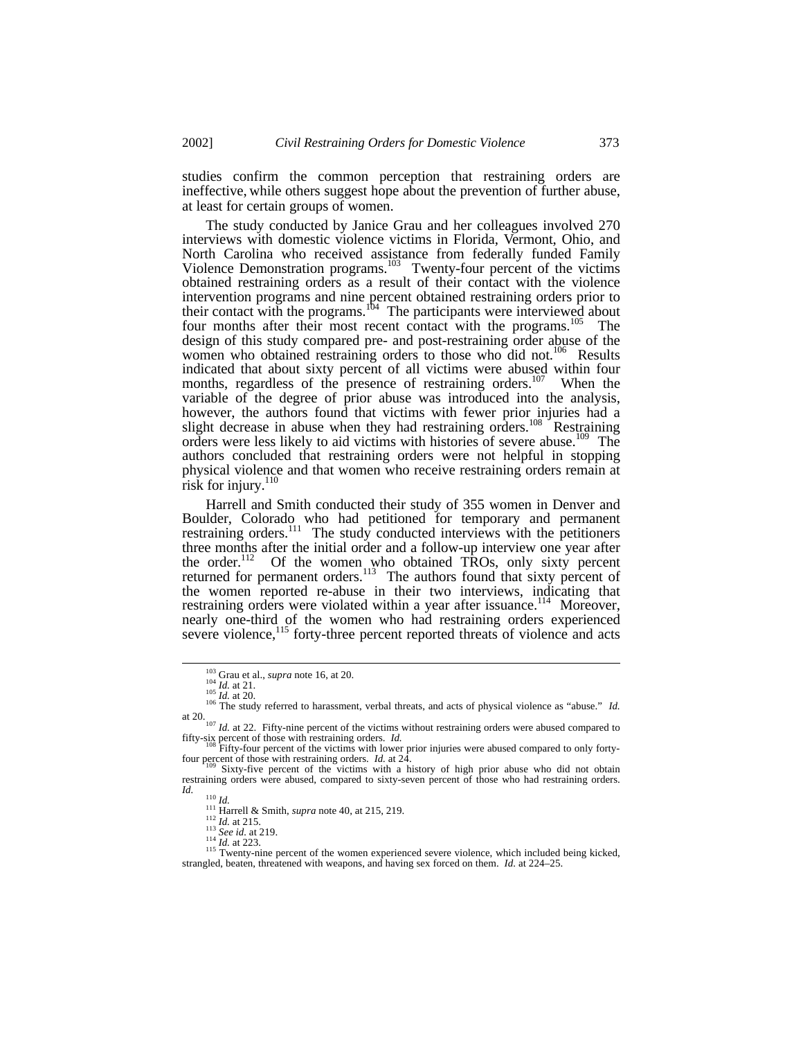studies confirm the common perception that restraining orders are ineffective, while others suggest hope about the prevention of further abuse, at least for certain groups of women.

The study conducted by Janice Grau and her colleagues involved 270 interviews with domestic violence victims in Florida, Vermont, Ohio, and North Carolina who received assistance from federally funded Family Violence Demonstration programs.<sup>103</sup> Twenty-four percent of the victims obtained restraining orders as a result of their contact with the violence intervention programs and nine percent obtained restraining orders prior to their contact with the programs.<sup>104</sup> The participants were interviewed about four months after their most recent contact with the programs.<sup>105</sup> The design of this study compared pre- and post-restraining order abuse of the women who obtained restraining orders to those who did not.<sup>106</sup> Results indicated that about sixty percent of all victims were abused within four months, regardless of the presence of restraining orders.<sup>107</sup> When the variable of the degree of prior abuse was introduced into the analysis, however, the authors found that victims with fewer prior injuries had a slight decrease in abuse when they had restraining orders.<sup>108</sup> Restraining orders were less likely to aid victims with histories of severe abuse.<sup>109</sup> The authors concluded that restraining orders were not helpful in stopping physical violence and that women who receive restraining orders remain at risk for injury. $110$ 

Harrell and Smith conducted their study of 355 women in Denver and Boulder, Colorado who had petitioned for temporary and permanent restraining orders.<sup>111</sup> The study conducted interviews with the petitioners three months after the initial order and a follow-up interview one year after the order.<sup>112</sup> Of the women who obtained TROs, only sixty percent returned for permanent orders.<sup>113</sup> The authors found that sixty percent of the women reported re-abuse in their two interviews, indicating that restraining orders were violated within a year after issuance.<sup>114</sup> Moreover, nearly one-third of the women who had restraining orders experienced severe violence,<sup>115</sup> forty-three percent reported threats of violence and acts

<sup>103</sup> Grau et al., *supra* note 16, at 20.

<sup>104</sup> *Id.* at 21.

<sup>105</sup> *Id.* at 20. <sup>106</sup> The study referred to harassment, verbal threats, and acts of physical violence as "abuse." *Id.* at 20.<br><sup>107</sup> *Id.* at 22. Fifty-nine percent of the victims without restraining orders were abused compared to

fifty-six percent of those with restraining orders. *Id.*

Fifty-four percent of the victims with lower prior injuries were abused compared to only fortyfour percent of those with restraining orders. *Id.* at 24.<br><sup>109</sup> Sixty-five percent of the victims with a history of high prior abuse who did not obtain

restraining orders were abused, compared to sixty-seven percent of those who had restraining orders. *Id.*

<sup>110</sup> *Id.*

<sup>111</sup> Harrell & Smith, *supra* note 40, at 215, 219.

<sup>112</sup> *Id.* at 215. <sup>113</sup> *See id.* at 219.

<sup>114</sup> *Id.* at 223.

<sup>&</sup>lt;sup>115</sup> Twenty-nine percent of the women experienced severe violence, which included being kicked, strangled, beaten, threatened with weapons, and having sex forced on them. *Id.* at 224–25.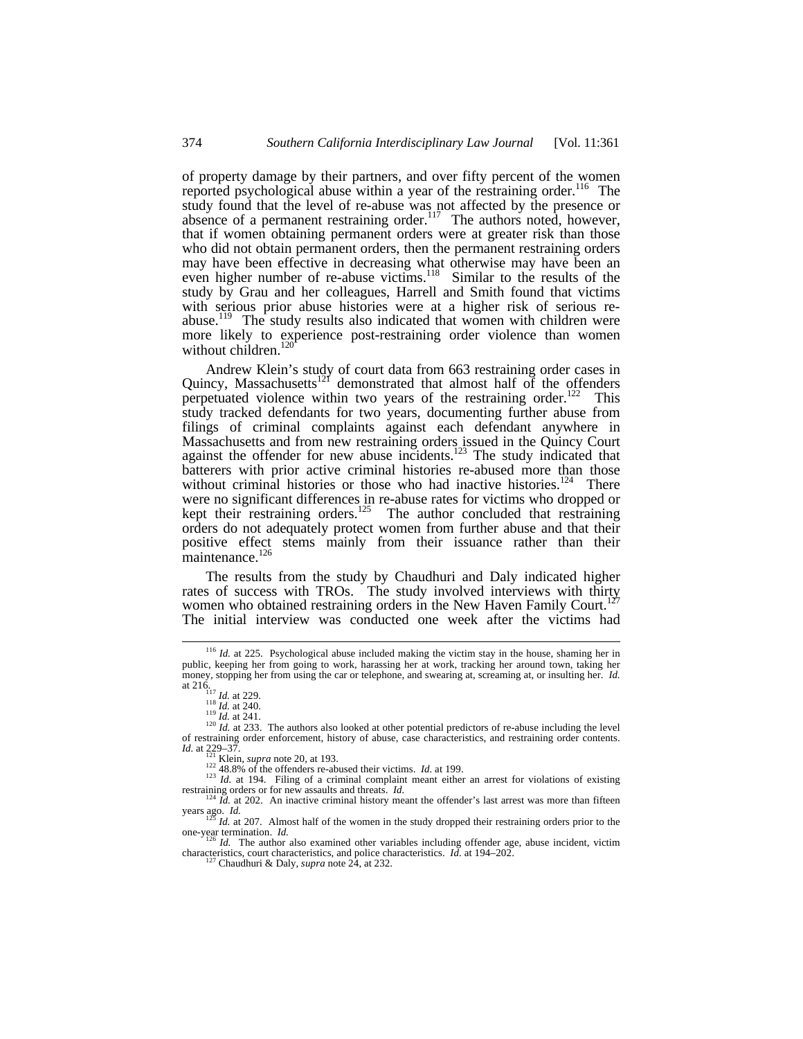of property damage by their partners, and over fifty percent of the women reported psychological abuse within a year of the restraining order.<sup>116</sup> The study found that the level of re-abuse was not affected by the presence or absence of a permanent restraining order.<sup>117</sup> The authors noted, however, that if women obtaining permanent orders were at greater risk than those who did not obtain permanent orders, then the permanent restraining orders may have been effective in decreasing what otherwise may have been an even higher number of re-abuse victims.<sup>118</sup> Similar to the results of the study by Grau and her colleagues, Harrell and Smith found that victims with serious prior abuse histories were at a higher risk of serious reabuse.<sup>119</sup> The study results also indicated that women with children were more likely to experience post-restraining order violence than women without children.<sup>120</sup>

Andrew Klein's study of court data from 663 restraining order cases in Quincy, Massachusetts $^{121}$  demonstrated that almost half of the offenders perpetuated violence within two years of the restraining order.<sup>122</sup> This study tracked defendants for two years, documenting further abuse from filings of criminal complaints against each defendant anywhere in Massachusetts and from new restraining orders issued in the Quincy Court against the offender for new abuse incidents.<sup>123</sup> The study indicated that batterers with prior active criminal histories re-abused more than those without criminal histories or those who had inactive histories.<sup>124</sup> There were no significant differences in re-abuse rates for victims who dropped or kept their restraining orders.<sup>125</sup> The author concluded that restraining orders do not adequately protect women from further abuse and that their positive effect stems mainly from their issuance rather than their maintenance.<sup>126</sup>

The results from the study by Chaudhuri and Daly indicated higher rates of success with TROs. The study involved interviews with thirty women who obtained restraining orders in the New Haven Family Court.<sup>1</sup> The initial interview was conducted one week after the victims had

<sup>&</sup>lt;sup>116</sup> *Id.* at 225. Psychological abuse included making the victim stay in the house, shaming her in public, keeping her from going to work, harassing her at work, tracking her around town, taking her money, stopping her from using the car or telephone, and swearing at, screaming at, or insulting her. *Id.* at 216.<br>
<sup>117</sup> *Id.* at 229.<br>
118 *Id.* at 240.

 $\frac{119}{10}$  *Id.* at 241.

 $120$  *Id.* at 233. The authors also looked at other potential predictors of re-abuse including the level of restraining order enforcement, history of abuse, case characteristics, and restraining order contents.

*Id.* at 229–37. <sup>121</sup> Klein, *supra* note 20, at 193. <sup>122</sup> 48.8% of the offenders re-abused their victims. *Id.* at 199.

<sup>&</sup>lt;sup>423</sup>*Id.* at 194. Filing of a criminal complaint meant either an arrest for violations of existing restraining orders or for new assaults and threats. *Id.*<br><sup>124</sup> *Id.* at 202. An inactive criminal history meant the offender's last arrest was more than fifteen

years ago. *Id.*<br><sup>125</sup> *Id.* at 207. Almost half of the women in the study dropped their restraining orders prior to the one-year termination. *Id.* one-year termination. *Id.*<br><sup>126</sup> *Id.* The author also examined other variables including offender age, abuse incident, victim

characteristics, court characteristics, and police characteristics. *Id.* at 194–202. <sup>127</sup> Chaudhuri & Daly, *supra* note 24, at 232.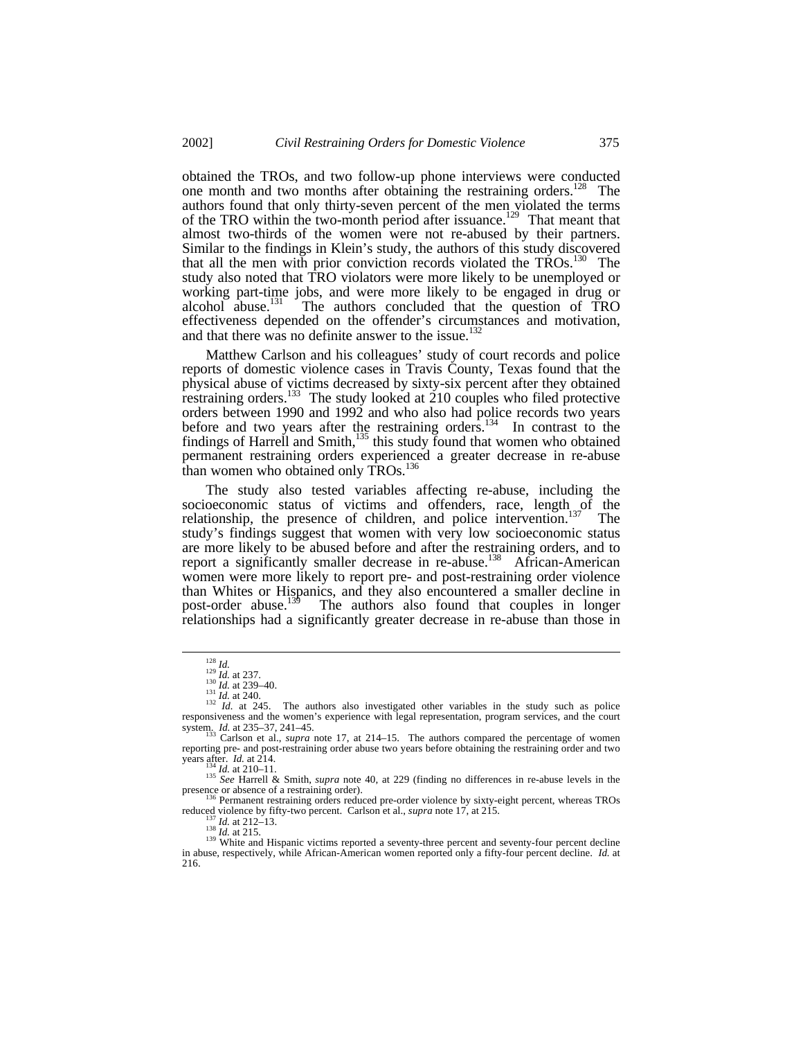obtained the TROs, and two follow-up phone interviews were conducted one month and two months after obtaining the restraining orders.<sup>128</sup> The authors found that only thirty-seven percent of the men violated the terms of the TRO within the two-month period after issuance.<sup>129</sup> That meant that almost two-thirds of the women were not re-abused by their partners. Similar to the findings in Klein's study, the authors of this study discovered that all the men with prior conviction records violated the  $TROs$ <sup>130</sup> The study also noted that TRO violators were more likely to be unemployed or working part-time jobs, and were more likely to be engaged in drug or alcohol abuse.<sup>[3]</sup> The authors concluded that the question of TRO The authors concluded that the question of TRO effectiveness depended on the offender's circumstances and motivation, and that there was no definite answer to the issue.<sup>132</sup>

Matthew Carlson and his colleagues' study of court records and police reports of domestic violence cases in Travis County, Texas found that the physical abuse of victims decreased by sixty-six percent after they obtained restraining orders.<sup>133</sup> The study looked at 210 couples who filed protective orders between 1990 and 1992 and who also had police records two years before and two years after the restraining orders.<sup>134</sup> In contrast to the findings of Harrell and Smith,<sup>135</sup> this study found that women who obtained permanent restraining orders experienced a greater decrease in re-abuse than women who obtained only TROs.<sup>136</sup>

The study also tested variables affecting re-abuse, including the socioeconomic status of victims and offenders, race, length of the relationship, the presence of children, and police intervention.<sup>137</sup> The study's findings suggest that women with very low socioeconomic status are more likely to be abused before and after the restraining orders, and to report a significantly smaller decrease in re-abuse.<sup>138</sup> African-American women were more likely to report pre- and post-restraining order violence than Whites or Hispanics, and they also encountered a smaller decline in post-order abuse.<sup>139</sup> The authors also found that couples in longer The authors also found that couples in longer relationships had a significantly greater decrease in re-abuse than those in

-

<sup>134</sup> *Id.* at 210–11.

<sup>135</sup> *See* Harrell & Smith, *supra* note 40, at 229 (finding no differences in re-abuse levels in the presence or absence of a restraining order).<br><sup>136</sup> Permanent restraining orders reduced pre-order violence by sixty-eight percent, whereas TROs

reduced violence by fifty-two percent. Carlson et al., *supra* note 17, at 215.

<sup>139</sup> White and Hispanic victims reported a seventy-three percent and seventy-four percent decline in abuse, respectively, while African-American women reported only a fifty-four percent decline. *Id.* at 216.

<sup>128</sup> *Id.* <sup>129</sup> *Id.* at 237. <sup>130</sup> *Id.* at 239–40.

 $\frac{131}{132}$  *Id.* at 240.<br>
<sup>132</sup> *Id.* at 245. The authors also investigated other variables in the study such as police responsiveness and the women's experience with legal representation, program services, and the court system. *Id.* at 235–37, 241–45. <sup>133</sup> Carlson et al., *supra* note 17, at 214–15. The authors compared the percentage of women

reporting pre- and post-restraining order abuse two years before obtaining the restraining order and two years after. *Id.* at 214.

<sup>&</sup>lt;sup>137</sup> *Id.* at 212–13.<br><sup>138</sup> *Id.* at 215.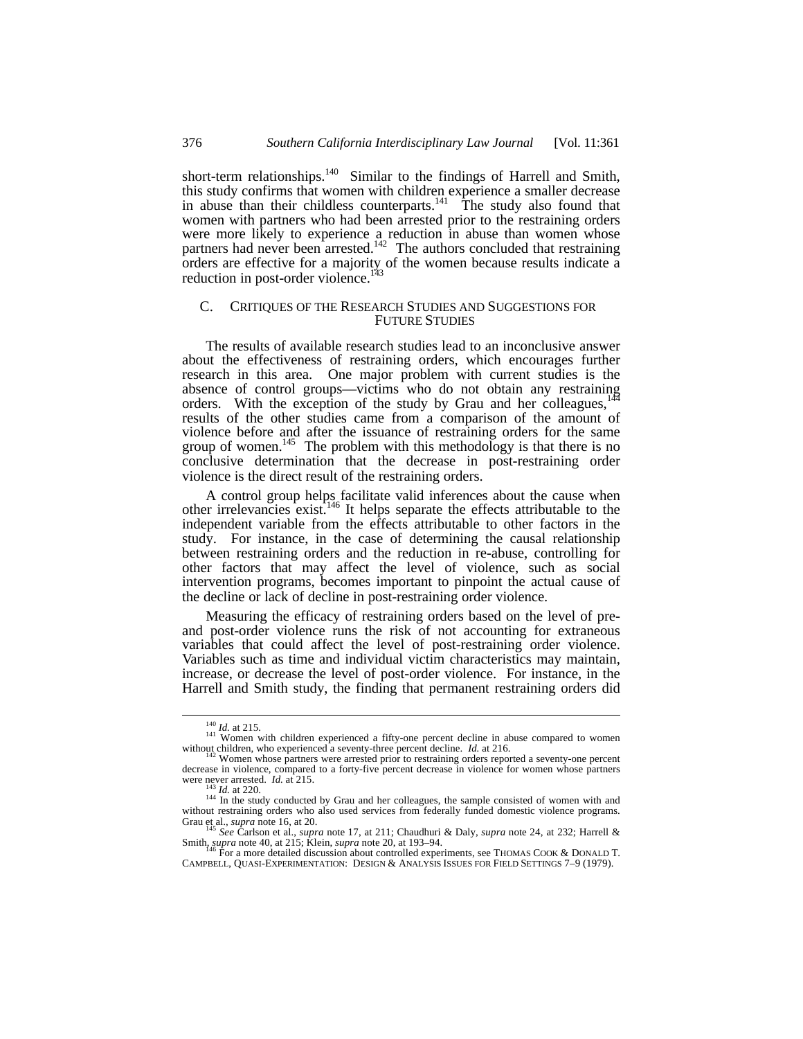short-term relationships.<sup>140</sup> Similar to the findings of Harrell and Smith, this study confirms that women with children experience a smaller decrease in abuse than their childless counterparts.<sup>141</sup> The study also found that women with partners who had been arrested prior to the restraining orders were more likely to experience a reduction in abuse than women whose partners had never been arrested.<sup>142</sup> The authors concluded that restraining orders are effective for a majority of the women because results indicate a reduction in post-order violence.<sup>143</sup>

### C. CRITIQUES OF THE RESEARCH STUDIES AND SUGGESTIONS FOR FUTURE STUDIES

The results of available research studies lead to an inconclusive answer about the effectiveness of restraining orders, which encourages further research in this area. One major problem with current studies is the absence of control groups—victims who do not obtain any restraining orders. With the exception of the study by Grau and her colleagues, $<sup>1</sup>$ </sup> results of the other studies came from a comparison of the amount of violence before and after the issuance of restraining orders for the same group of women.<sup>145</sup> The problem with this methodology is that there is no conclusive determination that the decrease in post-restraining order violence is the direct result of the restraining orders.

A control group helps facilitate valid inferences about the cause when other irrelevancies exist.<sup>146</sup> It helps separate the effects attributable to the independent variable from the effects attributable to other factors in the study. For instance, in the case of determining the causal relationship between restraining orders and the reduction in re-abuse, controlling for other factors that may affect the level of violence, such as social intervention programs, becomes important to pinpoint the actual cause of the decline or lack of decline in post-restraining order violence.

Measuring the efficacy of restraining orders based on the level of preand post-order violence runs the risk of not accounting for extraneous variables that could affect the level of post-restraining order violence. Variables such as time and individual victim characteristics may maintain, increase, or decrease the level of post-order violence. For instance, in the Harrell and Smith study, the finding that permanent restraining orders did

<sup>&</sup>lt;sup>140</sup> *Id.* at 215.<br><sup>141</sup> Women with children experienced a fifty-one percent decline in abuse compared to women without children, who experienced a seventy-three percent decline. *Id.* at 216.

 $2$  Women whose partners were arrested prior to restraining orders reported a seventy-one percent decrease in violence, compared to a forty-five percent decrease in violence for women whose partners were never arrested. *Id.* at 215.

*Id.* at 220.

 $144$  In the study conducted by Grau and her colleagues, the sample consisted of women with and without restraining orders who also used services from federally funded domestic violence programs. Grau et al., *supra* note 16, at 20. <sup>145</sup> *See* Carlson et al., *supra* note 17, at 211; Chaudhuri & Daly, *supra* note 24, at 232; Harrell &

Smith, *supra* note 40, at 215; Klein, *supra* note 20, at 193–94.

<sup>146</sup> For a more detailed discussion about controlled experiments, see THOMAS COOK & DONALD T. CAMPBELL, QUASI-EXPERIMENTATION: DESIGN & ANALYSIS ISSUES FOR FIELD SETTINGS 7–9 (1979).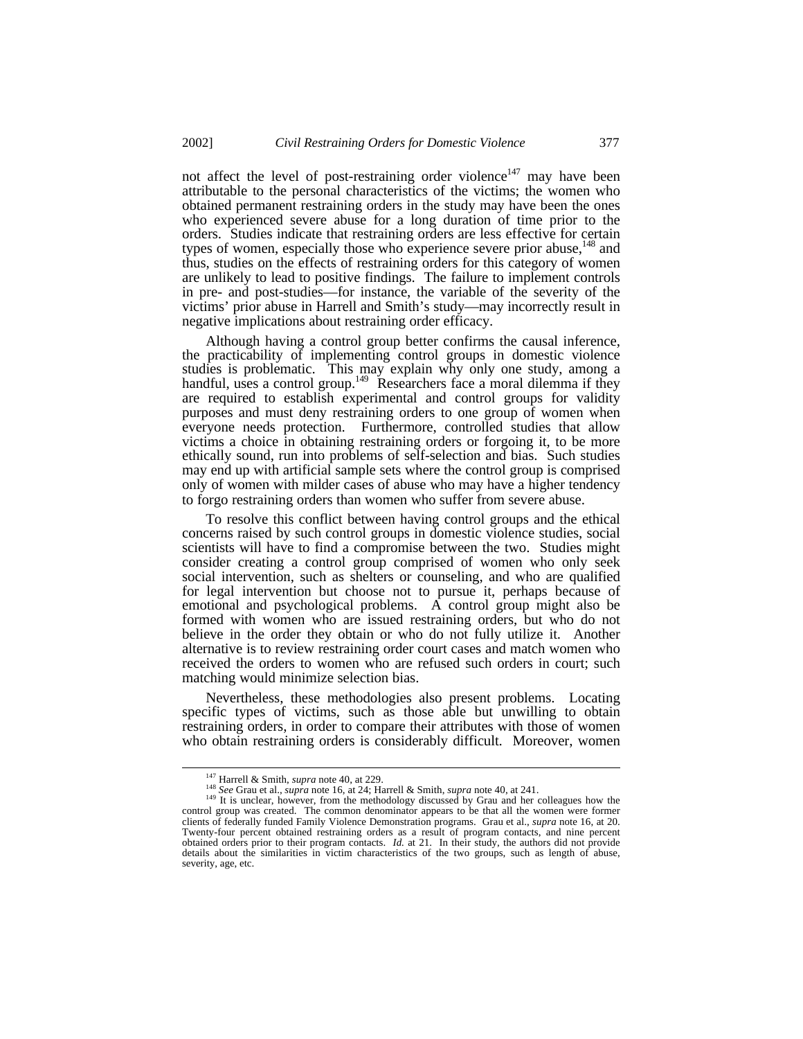not affect the level of post-restraining order violence<sup>147</sup> may have been attributable to the personal characteristics of the victims; the women who obtained permanent restraining orders in the study may have been the ones who experienced severe abuse for a long duration of time prior to the orders. Studies indicate that restraining orders are less effective for certain types of women, especially those who experience severe prior abuse,<sup>148</sup> and thus, studies on the effects of restraining orders for this category of women are unlikely to lead to positive findings. The failure to implement controls in pre- and post-studies—for instance, the variable of the severity of the victims' prior abuse in Harrell and Smith's study—may incorrectly result in negative implications about restraining order efficacy.

Although having a control group better confirms the causal inference, the practicability of implementing control groups in domestic violence studies is problematic. This may explain why only one study, among a handful, uses a control group.<sup>149</sup> Researchers face a moral dilemma if they are required to establish experimental and control groups for validity purposes and must deny restraining orders to one group of women when everyone needs protection. Furthermore, controlled studies that allow victims a choice in obtaining restraining orders or forgoing it, to be more ethically sound, run into problems of self-selection and bias. Such studies may end up with artificial sample sets where the control group is comprised only of women with milder cases of abuse who may have a higher tendency to forgo restraining orders than women who suffer from severe abuse.

To resolve this conflict between having control groups and the ethical concerns raised by such control groups in domestic violence studies, social scientists will have to find a compromise between the two. Studies might consider creating a control group comprised of women who only seek social intervention, such as shelters or counseling, and who are qualified for legal intervention but choose not to pursue it, perhaps because of emotional and psychological problems. A control group might also be formed with women who are issued restraining orders, but who do not believe in the order they obtain or who do not fully utilize it. Another alternative is to review restraining order court cases and match women who received the orders to women who are refused such orders in court; such matching would minimize selection bias.

Nevertheless, these methodologies also present problems. Locating specific types of victims, such as those able but unwilling to obtain restraining orders, in order to compare their attributes with those of women who obtain restraining orders is considerably difficult. Moreover, women

<sup>147</sup> Harrell & Smith, *supra* note 40, at 229.

<sup>148</sup> *See* Grau et al., *supra* note 16, at 24; Harrell & Smith, *supra* note 40, at 241.

<sup>&</sup>lt;sup>149</sup> It is unclear, however, from the methodology discussed by Grau and her colleagues how the control group was created. The common denominator appears to be that all the women were former clients of federally funded Family Violence Demonstration programs. Grau et al., *supra* note 16, at 20. Twenty-four percent obtained restraining orders as a result of program contacts, and nine percent obtained orders prior to their program contacts. *Id.* at 21. In their study, the authors did not provide details about the similarities in victim characteristics of the two groups, such as length of abuse, severity, age, etc.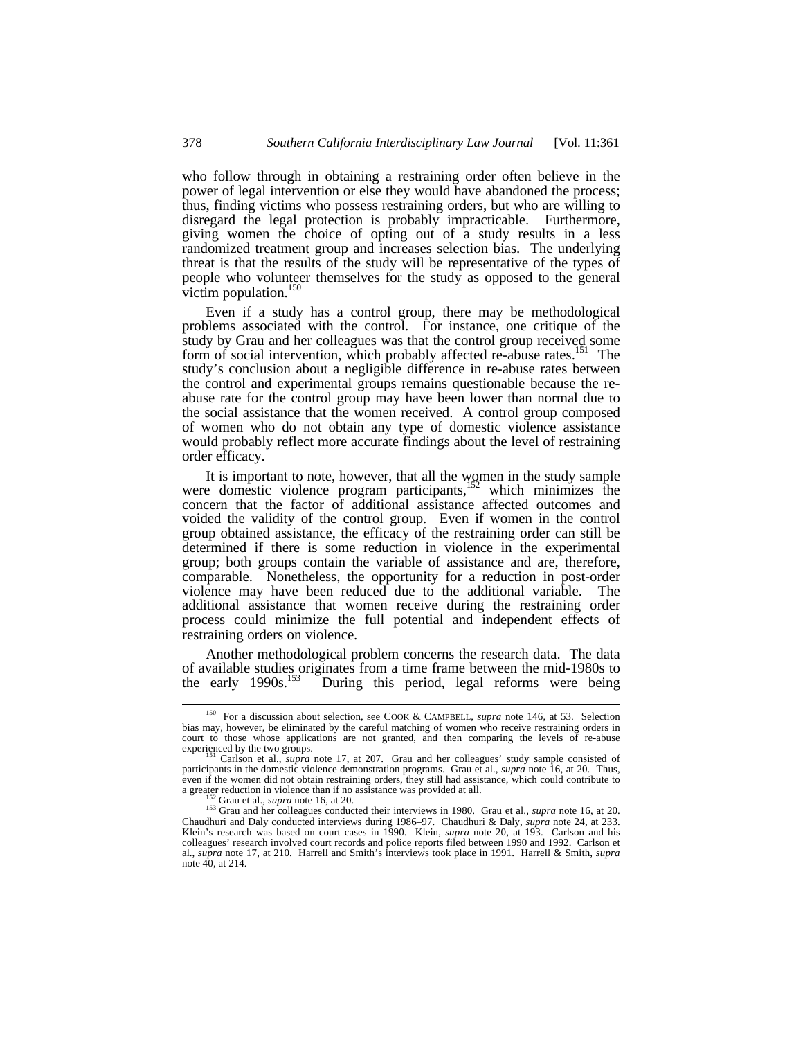who follow through in obtaining a restraining order often believe in the power of legal intervention or else they would have abandoned the process; thus, finding victims who possess restraining orders, but who are willing to disregard the legal protection is probably impracticable. Furthermore, giving women the choice of opting out of a study results in a less randomized treatment group and increases selection bias. The underlying threat is that the results of the study will be representative of the types of people who volunteer themselves for the study as opposed to the general victim population. $<sup>1</sup>$ </sup>

Even if a study has a control group, there may be methodological problems associated with the control. For instance, one critique of the study by Grau and her colleagues was that the control group received some form of social intervention, which probably affected re-abuse rates.<sup>151</sup> The study's conclusion about a negligible difference in re-abuse rates between the control and experimental groups remains questionable because the reabuse rate for the control group may have been lower than normal due to the social assistance that the women received. A control group composed of women who do not obtain any type of domestic violence assistance would probably reflect more accurate findings about the level of restraining order efficacy.

It is important to note, however, that all the women in the study sample were domestic violence program participants,<sup>152</sup> which minimizes the concern that the factor of additional assistance affected outcomes and voided the validity of the control group. Even if women in the control group obtained assistance, the efficacy of the restraining order can still be determined if there is some reduction in violence in the experimental group; both groups contain the variable of assistance and are, therefore, comparable. Nonetheless, the opportunity for a reduction in post-order violence may have been reduced due to the additional variable. The additional assistance that women receive during the restraining order process could minimize the full potential and independent effects of restraining orders on violence.

Another methodological problem concerns the research data. The data of available studies originates from a time frame between the mid-1980s to the early 1990s.<sup>153</sup> During this period, legal reforms were being During this period, legal reforms were being

<sup>&</sup>lt;sup>150</sup> For a discussion about selection, see COOK & CAMPBELL, *supra* note 146, at 53. Selection bias may, however, be eliminated by the careful matching of women who receive restraining orders in court to those whose applications are not granted, and then comparing the levels of re-abuse experienced by the two groups.

Carlson et al., *supra* note 17, at 207. Grau and her colleagues' study sample consisted of participants in the domestic violence demonstration programs. Grau et al., *supra* note 16, at 20. Thus, even if the women did not obtain restraining orders, they still had assistance, which could contribute to a greater reduction in violence than if no assistance was provided at all.

<sup>152</sup> Grau et al., *supra* note 16, at 20.

<sup>153</sup> Grau and her colleagues conducted their interviews in 1980. Grau et al., *supra* note 16, at 20. Chaudhuri and Daly conducted interviews during 1986–97. Chaudhuri & Daly, *supra* note 24, at 233. Klein's research was based on court cases in 1990. Klein, *supra* note 20, at 193. Carlson and his colleagues' research involved court records and police reports filed between 1990 and 1992. Carlson et al., *supra* note 17, at 210. Harrell and Smith's interviews took place in 1991. Harrell & Smith, *supra* note  $40$ , at  $214$ .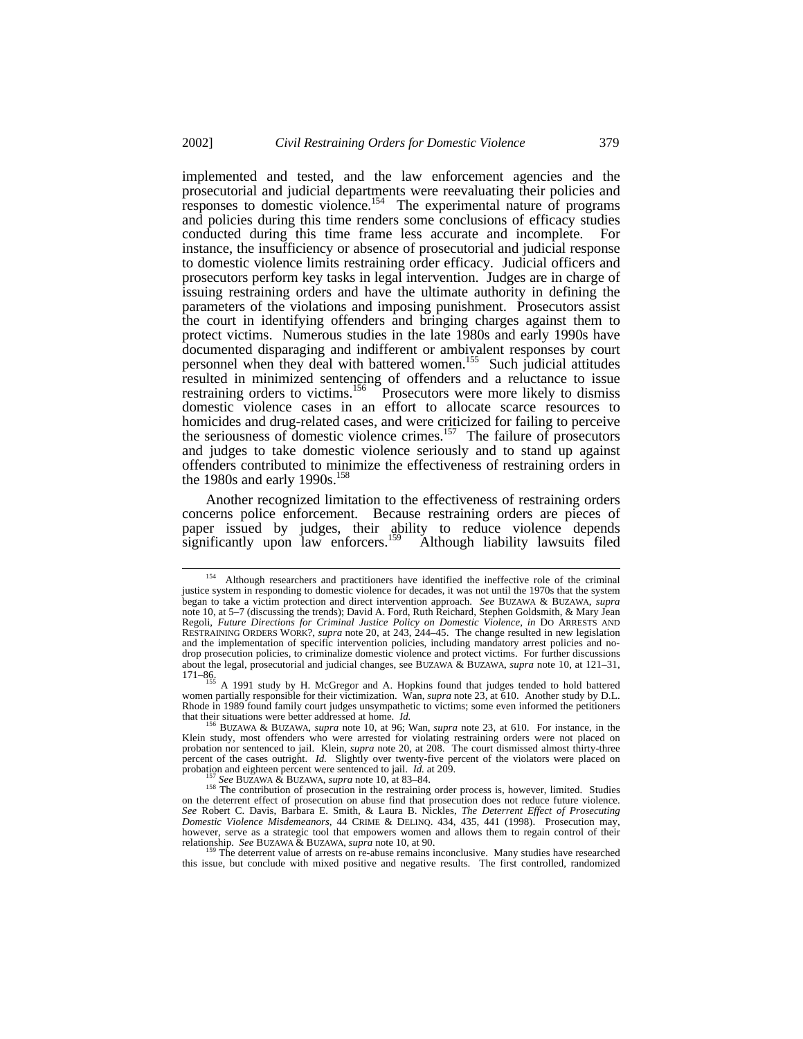implemented and tested, and the law enforcement agencies and the prosecutorial and judicial departments were reevaluating their policies and responses to domestic violence.<sup>154</sup> The experimental nature of programs and policies during this time renders some conclusions of efficacy studies conducted during this time frame less accurate and incomplete. For instance, the insufficiency or absence of prosecutorial and judicial response to domestic violence limits restraining order efficacy. Judicial officers and prosecutors perform key tasks in legal intervention. Judges are in charge of issuing restraining orders and have the ultimate authority in defining the parameters of the violations and imposing punishment. Prosecutors assist the court in identifying offenders and bringing charges against them to protect victims. Numerous studies in the late 1980s and early 1990s have documented disparaging and indifferent or ambivalent responses by court personnel when they deal with battered women.<sup>155</sup> Such judicial attitudes resulted in minimized sentencing of offenders and a reluctance to issue restraining orders to victims.<sup>156</sup> Prosecutors were more likely to dismiss domestic violence cases in an effort to allocate scarce resources to homicides and drug-related cases, and were criticized for failing to perceive the seriousness of domestic violence crimes.<sup>157</sup> The failure of prosecutors and judges to take domestic violence seriously and to stand up against offenders contributed to minimize the effectiveness of restraining orders in the 1980s and early 1990s.<sup>158</sup>

Another recognized limitation to the effectiveness of restraining orders concerns police enforcement. Because restraining orders are pieces of paper issued by judges, their ability to reduce violence depends significantly upon law enforcers.<sup>159</sup> Although liability lawsuits filed

<sup>&</sup>lt;sup>154</sup> Although researchers and practitioners have identified the ineffective role of the criminal justice system in responding to domestic violence for decades, it was not until the 1970s that the system began to take a victim protection and direct intervention approach. *See* BUZAWA & BUZAWA, *supra* note 10, at 5–7 (discussing the trends); David A. Ford, Ruth Reichard, Stephen Goldsmith, & Mary Jean Regoli, *Future Directions for Criminal Justice Policy on Domestic Violence*, *in* DO ARRESTS AND RESTRAINING ORDERS WORK?, *supra* note 20, at 243, 244–45. The change resulted in new legislation and the implementation of specific intervention policies, including mandatory arrest policies and nodrop prosecution policies, to criminalize domestic violence and protect victims. For further discussions about the legal, prosecutorial and judicial changes, see BUZAWA & BUZAWA, *supra* note 10, at 121–31,

<sup>171–86.</sup> <sup>155</sup> A 1991 study by H. McGregor and A. Hopkins found that judges tended to hold battered women partially responsible for their victimization. Wan, *supra* note 23*,* at 610. Another study by D.L. Rhode in 1989 found family court judges unsympathetic to victims; some even informed the petitioners that their situations were better addressed at home. *Id.*

<sup>156</sup> BUZAWA & BUZAWA, *supra* note 10, at 96; Wan, *supra* note 23, at 610. For instance, in the Klein study, most offenders who were arrested for violating restraining orders were not placed on probation nor sentenced to jail. Klein, *supra* note 20, at 208. The court dismissed almost thirty-three percent of the cases outright. *Id.* Slightly over twenty-five percent of the violators were placed on probation and eighteen percent were sentenced to jail. *Id.* at 209.

See BUZAWA & BUZAWA, *supra* note 10, at 83–84.

<sup>&</sup>lt;sup>158</sup> The contribution of prosecution in the restraining order process is, however, limited. Studies on the deterrent effect of prosecution on abuse find that prosecution does not reduce future violence. *See* Robert C. Davis, Barbara E. Smith, & Laura B. Nickles, *The Deterrent Effect of Prosecuting Domestic Violence Misdemeanors*, 44 CRIME & DELINQ. 434, 435, 441 (1998). Prosecution may, however, serve as a strategic tool that empowers women and allows them to regain control of their relationship. *See* BUZAWA & BUZAWA, *supra* note 10, at 90.

The deterrent value of arrests on re-abuse remains inconclusive. Many studies have researched this issue, but conclude with mixed positive and negative results. The first controlled, randomized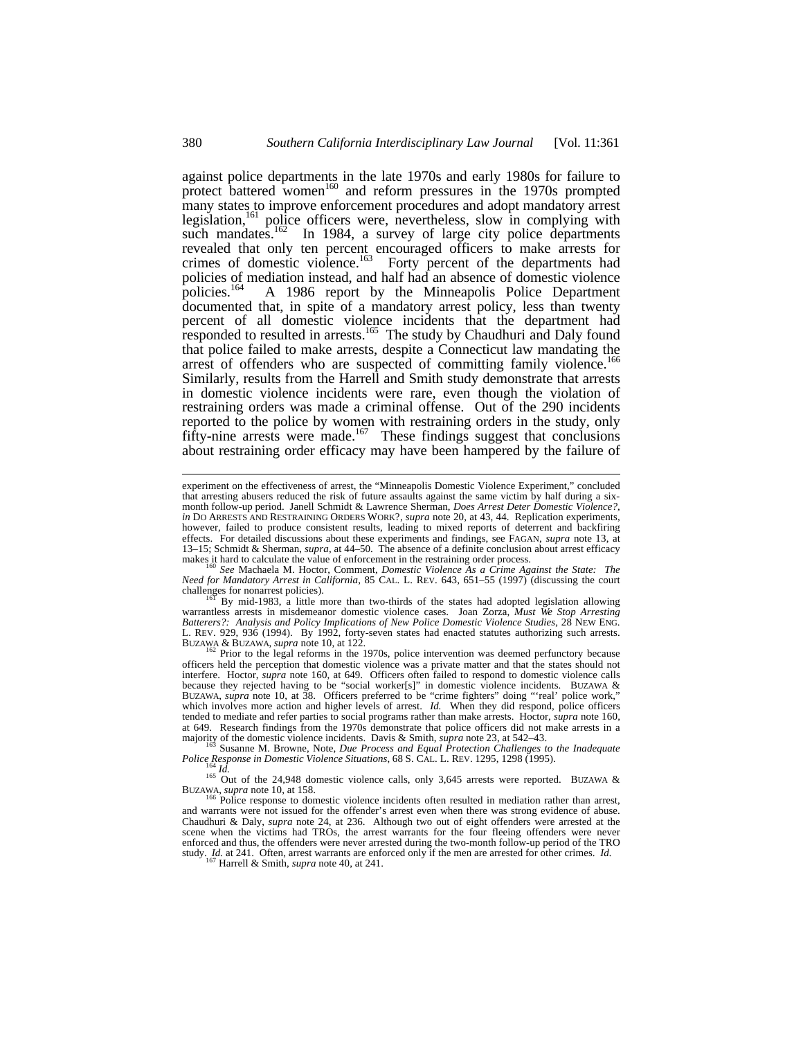against police departments in the late 1970s and early 1980s for failure to protect battered women<sup>160</sup> and reform pressures in the 1970s prompted many states to improve enforcement procedures and adopt mandatory arrest legislation,<sup>161</sup> police officers were, nevertheless, slow in complying with such mandates.<sup>162</sup> In 1984, a survey of large city police departments revealed that only ten percent encouraged officers to make arrests for crimes of domestic violence.<sup>163</sup> Forty percent of the departments had policies of mediation instead, and half had an absence of domestic violence<br>policies.<sup>164</sup> A 1986 report by the Minneapolis Police Department A 1986 report by the Minneapolis Police Department documented that, in spite of a mandatory arrest policy, less than twenty percent of all domestic violence incidents that the department had responded to resulted in arrests.<sup>165</sup> The study by Chaudhuri and Daly found that police failed to make arrests, despite a Connecticut law mandating the arrest of offenders who are suspected of committing family violence.<sup>166</sup> Similarly, results from the Harrell and Smith study demonstrate that arrests in domestic violence incidents were rare, even though the violation of restraining orders was made a criminal offense. Out of the 290 incidents reported to the police by women with restraining orders in the study, only fifty-nine arrests were made.<sup>167</sup> These findings suggest that conclusions about restraining order efficacy may have been hampered by the failure of

<sup>160</sup> *See* Machaela M. Hoctor, Comment, *Domestic Violence As a Crime Against the State: The Need for Mandatory Arrest in California*, 85 CAL. L. REV. 643, 651–55 (1997) (discussing the court challenges for nonarrest policies).

<sup>161</sup> By mid-1983, a little more than two-thirds of the states had adopted legislation allowing warrantless arrests in misdemeanor domestic violence cases. Joan Zorza, *Must We Stop Arresting Batterers?: Analysis and Policy Implications of New Police Domestic Violence Studies*, 28 NEW ENG. L. REV. 929, 936 (1994). By 1992, forty-seven states had enacted statutes authorizing such arrests. BUZAWA & BUZAWA, *supra* note 10, at 122.<br><sup>162</sup> Prior to the legal reforms in the 1970s, police intervention was deemed perfunctory because

officers held the perception that domestic violence was a private matter and that the states should not interfere. Hoctor, *supra* note 160, at 649. Officers often failed to respond to domestic violence calls because they rejected having to be "social worker[s]" in domestic violence incidents. BUZAWA & BUZAWA, *supra* note 10, at 38. Officers preferred to be "crime fighters" doing "'real' police work," which involves more action and higher levels of arrest. *Id.* When they did respond, police officers tended to mediate and refer parties to social programs rather than make arrests. Hoctor, *supra* note 160, at 649. Research findings from the 1970s demonstrate that police officers did not make arrests in a majority of the domestic violence incidents. Davis & Smith, *supra* note 23, at 542–43.

<sup>163</sup> Susanne M. Browne, Note, *Due Process and Equal Protection Challenges to the Inadequate Police Response in Domestic Violence Situations*, 68 S. CAL. L. REV. 1295, 1298 (1995).

<sup>164</sup> *Id.*<br><sup>165</sup> Out of the 24,948 domestic violence calls, only 3,645 arrests were reported. BUZAWA &

BUZAWA, *supra* note 10, at 158. <sup>166</sup> Police response to domestic violence incidents often resulted in mediation rather than arrest, and warrants were not issued for the offender's arrest even when there was strong evidence of abuse. Chaudhuri & Daly, *supra* note 24, at 236. Although two out of eight offenders were arrested at the scene when the victims had TROs, the arrest warrants for the four fleeing offenders were never enforced and thus, the offenders were never arrested during the two-month follow-up period of the TRO study. *Id.* at 241. Often, arrest warrants are enforced only if the men are arrested for other crimes. *Id.*  $167 \text{ Hz}$ 

Harrell & Smith, *supra* note 40, at 241.

experiment on the effectiveness of arrest, the "Minneapolis Domestic Violence Experiment," concluded that arresting abusers reduced the risk of future assaults against the same victim by half during a sixmonth follow-up period. Janell Schmidt & Lawrence Sherman, *Does Arrest Deter Domestic Violence?, in* DO ARRESTS AND RESTRAINING ORDERS WORK?, *supra* note 20, at 43, 44. Replication experiments, however, failed to produce consistent results, leading to mixed reports of deterrent and backfiring effects. For detailed discussions about these experiments and findings, see FAGAN, *supra* note 13, at 13–15; Schmidt & Sherman, *supra*, at 44–50. The absence of a definite conclusion about arrest efficacy makes it hard to calculate the value of enforcement in the restraining order process.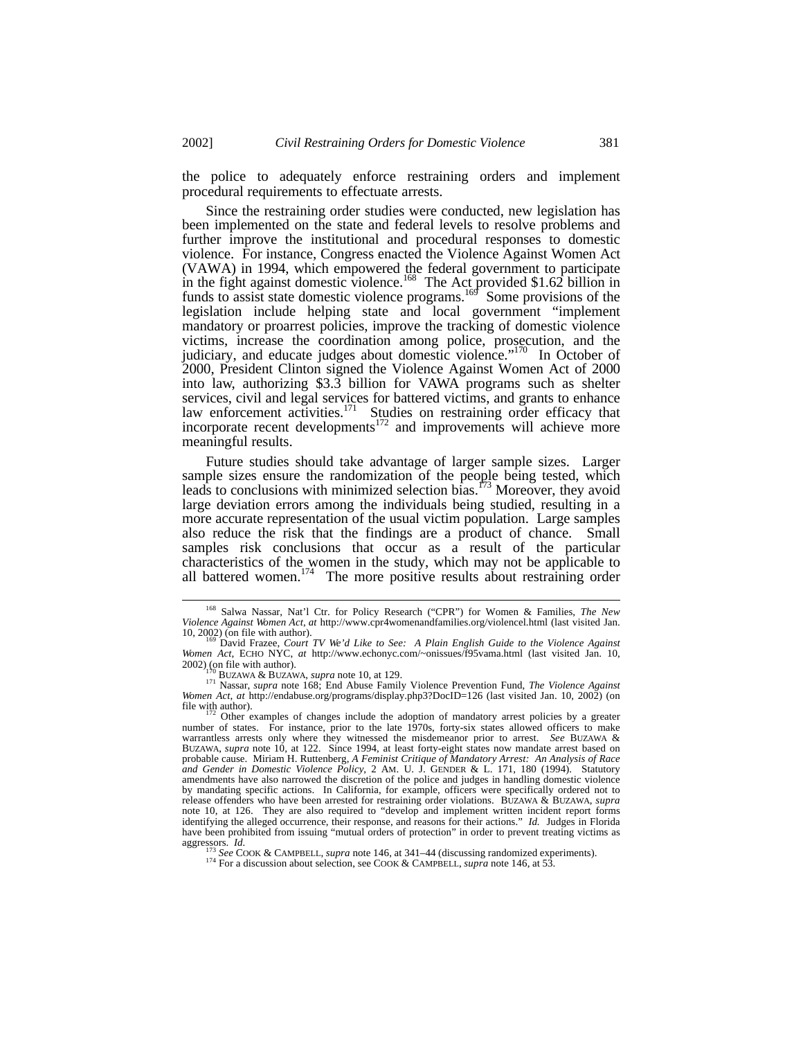the police to adequately enforce restraining orders and implement procedural requirements to effectuate arrests.

Since the restraining order studies were conducted, new legislation has been implemented on the state and federal levels to resolve problems and further improve the institutional and procedural responses to domestic violence. For instance, Congress enacted the Violence Against Women Act (VAWA) in 1994, which empowered the federal government to participate in the fight against domestic violence.<sup>168</sup> The Act provided \$1.62 billion in funds to assist state domestic violence programs.<sup>169</sup> Some provisions of the legislation include helping state and local government "implement mandatory or proarrest policies, improve the tracking of domestic violence victims, increase the coordination among police, prosecution, and the judiciary, and educate judges about domestic violence."<sup>170</sup> In October of 2000, President Clinton signed the Violence Against Women Act of 2000 into law, authorizing \$3.3 billion for VAWA programs such as shelter services, civil and legal services for battered victims, and grants to enhance law enforcement activities.<sup>171</sup> Studies on restraining order efficacy that incorporate recent developments<sup>172</sup> and improvements will achieve more meaningful results.

Future studies should take advantage of larger sample sizes. Larger sample sizes ensure the randomization of the people being tested, which leads to conclusions with minimized selection bias.<sup>173</sup> Moreover, they avoid large deviation errors among the individuals being studied, resulting in a more accurate representation of the usual victim population. Large samples also reduce the risk that the findings are a product of chance. Small samples risk conclusions that occur as a result of the particular characteristics of the women in the study, which may not be applicable to all battered women.<sup>174</sup> The more positive results about restraining order

<sup>168</sup> Salwa Nassar, Nat'l Ctr. for Policy Research ("CPR") for Women & Families, *The New Violence Against Women Act*, *at* http://www.cpr4womenandfamilies.org/violencel.html (last visited Jan. 10, 2002) (on file with author).

<sup>169</sup> David Frazee, *Court TV We'd Like to See: A Plain English Guide to the Violence Against Women Act*, ECHO NYC, *at* http://www.echonyc.com/~onissues/f95vama.html (last visited Jan. 10,  $2002$ ) (on file with author).

<sup>170</sup> BUZAWA & BUZAWA, *supra* note 10, at 129.

<sup>171</sup> Nassar, *supra* note 168; End Abuse Family Violence Prevention Fund, *The Violence Against Women Act*, *at* http://endabuse.org/programs/display.php3?DocID=126 (last visited Jan. 10, 2002) (on file with author).<br> $172$  Other examples of changes include the adoption of mandatory arrest policies by a greater

number of states. For instance, prior to the late 1970s, forty-six states allowed officers to make warrantless arrests only where they witnessed the misdemeanor prior to arrest. *See* BUZAWA & BUZAWA, *supra* note 10, at 122. Since 1994, at least forty-eight states now mandate arrest based on probable cause. Miriam H. Ruttenberg, *A Feminist Critique of Mandatory Arrest: An Analysis of Race and Gender in Domestic Violence Policy*, 2 AM. U. J. GENDER & L. 171, 180 (1994). Statutory amendments have also narrowed the discretion of the police and judges in handling domestic violence by mandating specific actions. In California, for example, officers were specifically ordered not to release offenders who have been arrested for restraining order violations. BUZAWA & BUZAWA, *supra* note 10, at 126. They are also required to "develop and implement written incident report forms identifying the alleged occurrence, their response, and reasons for their actions." *Id.* Judges in Florida have been prohibited from issuing "mutual orders of protection" in order to prevent treating victims as aggressors. *Id.*

See COOK & CAMPBELL, *supra* note 146, at 341–44 (discussing randomized experiments).

<sup>&</sup>lt;sup>174</sup> For a discussion about selection, see COOK & CAMPBELL, *supra* note 146, at 53.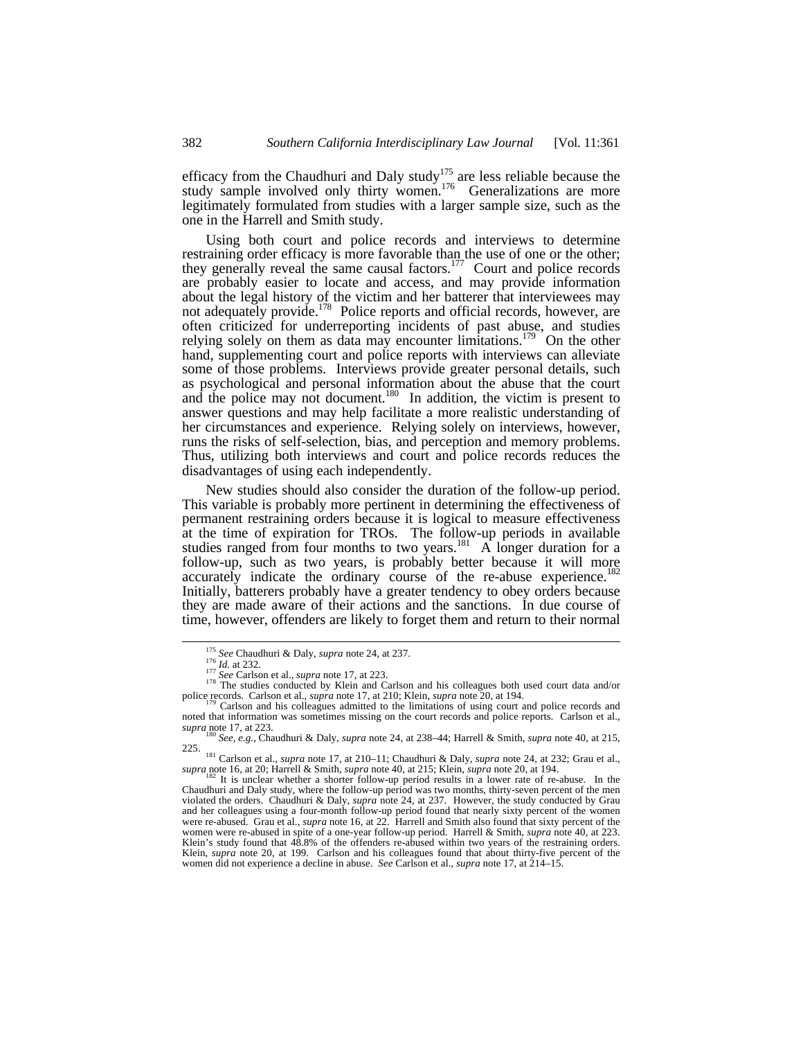efficacy from the Chaudhuri and Daly study<sup>175</sup> are less reliable because the study sample involved only thirty women.<sup>176</sup> Generalizations are more legitimately formulated from studies with a larger sample size, such as the one in the Harrell and Smith study.

Using both court and police records and interviews to determine restraining order efficacy is more favorable than the use of one or the other; they generally reveal the same causal factors.<sup>177</sup> Court and police records are probably easier to locate and access, and may provide information about the legal history of the victim and her batterer that interviewees may not adequately provide.<sup>178</sup> Police reports and official records, however, are often criticized for underreporting incidents of past abuse, and studies relying solely on them as data may encounter limitations.<sup>179</sup> On the other hand, supplementing court and police reports with interviews can alleviate some of those problems. Interviews provide greater personal details, such as psychological and personal information about the abuse that the court and the police may not document.<sup>180</sup> In addition, the victim is present to answer questions and may help facilitate a more realistic understanding of her circumstances and experience. Relying solely on interviews, however, runs the risks of self-selection, bias, and perception and memory problems. Thus, utilizing both interviews and court and police records reduces the disadvantages of using each independently.

New studies should also consider the duration of the follow-up period. This variable is probably more pertinent in determining the effectiveness of permanent restraining orders because it is logical to measure effectiveness at the time of expiration for TROs. The follow-up periods in available studies ranged from four months to two years.<sup>181</sup> A longer duration for a follow-up, such as two years, is probably better because it will more accurately indicate the ordinary course of the re-abuse experience.<sup>182</sup> Initially, batterers probably have a greater tendency to obey orders because they are made aware of their actions and the sanctions. In due course of time, however, offenders are likely to forget them and return to their normal

<sup>175</sup> *See* Chaudhuri & Daly, *supra* note 24, at 237.

<sup>&</sup>lt;sup>176</sup> *Id.* at 232.<br><sup>177</sup> *See* Carlson et al., *supra* note 17, at 223.

<sup>&</sup>lt;sup>178</sup> The studies conducted by Klein and Carlson and his colleagues both used court data and/or police records. Carlson et al., *supra* note 17, at 210; Klein, *supra* note 20, at 194.

Carlson and his colleagues admitted to the limitations of using court and police records and noted that information was sometimes missing on the court records and police reports. Carlson et al., *supra* note 17, at 223.

<sup>180</sup> *See, e.g.*, Chaudhuri & Daly, *supra* note 24, at 238–44; Harrell & Smith, *supra* note 40, at 215, 225.

<sup>181</sup> Carlson et al., *supra* note 17, at 210–11; Chaudhuri & Daly, *supra* note 24, at 232; Grau et al., *supra* note 16, at 20; Harrell & Smith, *supra* note 40, at 215; Klein, *supra* note 20, at 194. <sup>182</sup> It is unclear whether a shorter follow-up period results in a lower rate of re-abuse. In the

Chaudhuri and Daly study, where the follow-up period was two months, thirty-seven percent of the men<br>violated the orders. Chaudhuri & Daly, *supra* note 24, at 237. However, the study conducted by Grau<br>and her colleagues u were re-abused. Grau et al., *supra* note 16, at 22. Harrell and Smith also found that sixty percent of the were re-abused. Since et al., *supperfolders*, we have response to the series of a smith, *supra* note 40, at 223. Klein's study found that 48.8% of the offenders re-abused within two years of the restraining orders. Klein, *supra* note 20, at 199. Carlson and his colleagues found that about thirty-five percent of the women did not experience a decline in abuse. *See* Carlson et al., *supra* note 17, at 214–15.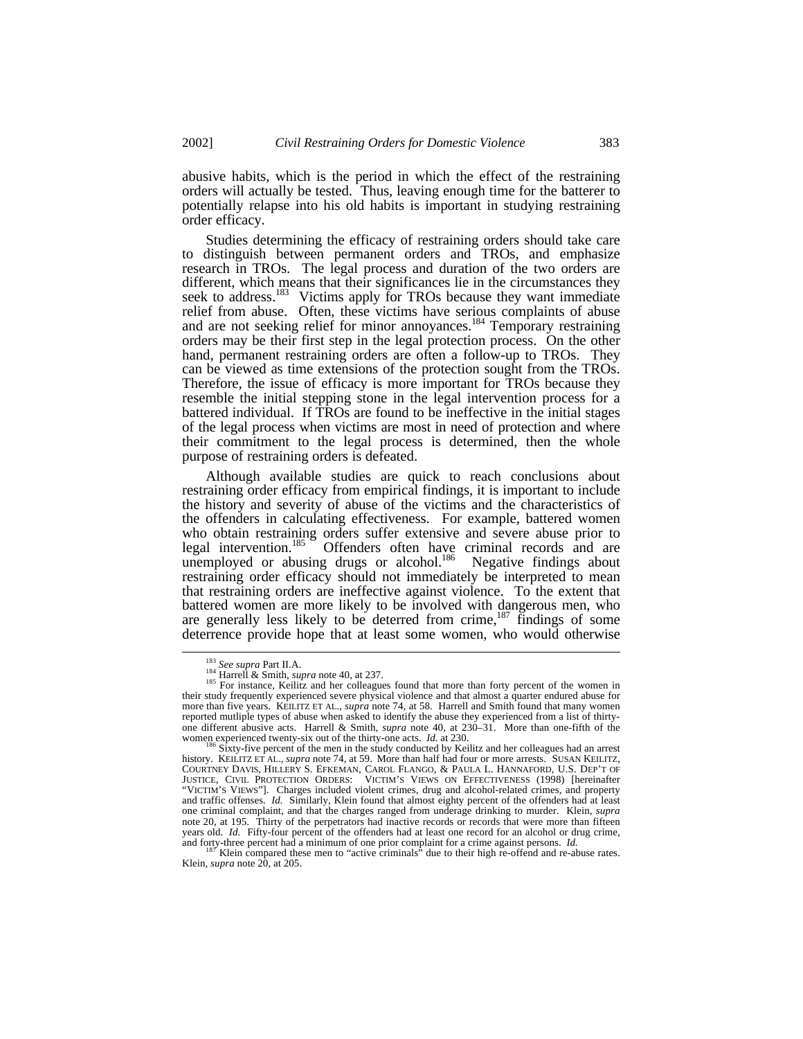abusive habits, which is the period in which the effect of the restraining orders will actually be tested. Thus, leaving enough time for the batterer to potentially relapse into his old habits is important in studying restraining order efficacy.

Studies determining the efficacy of restraining orders should take care to distinguish between permanent orders and TROs, and emphasize research in TROs. The legal process and duration of the two orders are different, which means that their significances lie in the circumstances they seek to address.<sup>183</sup> Victims apply for TROs because they want immediate relief from abuse. Often, these victims have serious complaints of abuse and are not seeking relief for minor annoyances.<sup>184</sup> Temporary restraining orders may be their first step in the legal protection process. On the other hand, permanent restraining orders are often a follow-up to TROs. They can be viewed as time extensions of the protection sought from the TROs. Therefore, the issue of efficacy is more important for TROs because they resemble the initial stepping stone in the legal intervention process for a battered individual. If TROs are found to be ineffective in the initial stages of the legal process when victims are most in need of protection and where their commitment to the legal process is determined, then the whole purpose of restraining orders is defeated.

Although available studies are quick to reach conclusions about restraining order efficacy from empirical findings, it is important to include the history and severity of abuse of the victims and the characteristics of the offenders in calculating effectiveness. For example, battered women who obtain restraining orders suffer extensive and severe abuse prior to legal intervention.<sup>185</sup> Offenders often have criminal records and are legal intervention.<sup>185</sup> Offenders often have criminal records and are unemployed or abusing drugs or alcohol.<sup>186</sup> Negative findings about restraining order efficacy should not immediately be interpreted to mean that restraining orders are ineffective against violence. To the extent that battered women are more likely to be involved with dangerous men, who are generally less likely to be deterred from crime,  $187$  findings of some deterrence provide hope that at least some women, who would otherwise

<sup>183</sup> *See supra* Part II.A.

<sup>184</sup> Harrell & Smith, *supra* note 40, at 237.

<sup>&</sup>lt;sup>185</sup> For instance, Keilitz and her colleagues found that more than forty percent of the women in their study frequently experienced severe physical violence and that almost a quarter endured abuse for more than five years. KEILITZ ET AL., *supra* note 74, at 58. Harrell and Smith found that many women reported mutliple types of abuse when asked to identify the abuse they experienced from a list of thirtyone different abusive acts. Harrell & Smith, *supra* note 40, at 230–31. More than one-fifth of the women experienced twenty-six out of the thirty-one acts. *Id.* at 230.

Sixty-five percent of the men in the study conducted by Keilitz and her colleagues had an arrest history. KEILITZ ET AL., *supra* note 74, at 59. More than half had four or more arrests. SUSAN KEILITZ, COURTNEY DAVIS, HILLERY S. EFKEMAN, CAROL FLANGO, & PAULA L. HANNAFORD, U.S. DEP'T OF JUSTICE, CIVIL PROTECTION ORDERS: VICTIM'S VIEWS ON EFFECTIVENESS (1998) [hereinafter "VICTIM'S VIEWS"]. Charges included violent crimes, drug and alcohol-related crimes, and property and traffic offenses. *Id.* Similarly, Klein found that almost eighty percent of the offenders had at least one criminal complaint, and that the charges ranged from underage drinking to murder. Klein, *supra* note 20, at 195. Thirty of the perpetrators had inactive records or records that were more than fifteen years old. *Id.* Fifty-four percent of the offenders had at least one record for an alcohol or drug crime, and forty-three percent had a minimum of one prior complaint for a crime against persons. *Id.* 

and forty-three percent had a minimum of one prior complaint for a crime against persons. *Id.*<br><sup>187</sup> Klein compared these men to "active criminals" due to their high re-offend and re-abuse rates.<br>Klein, *supra* note 20,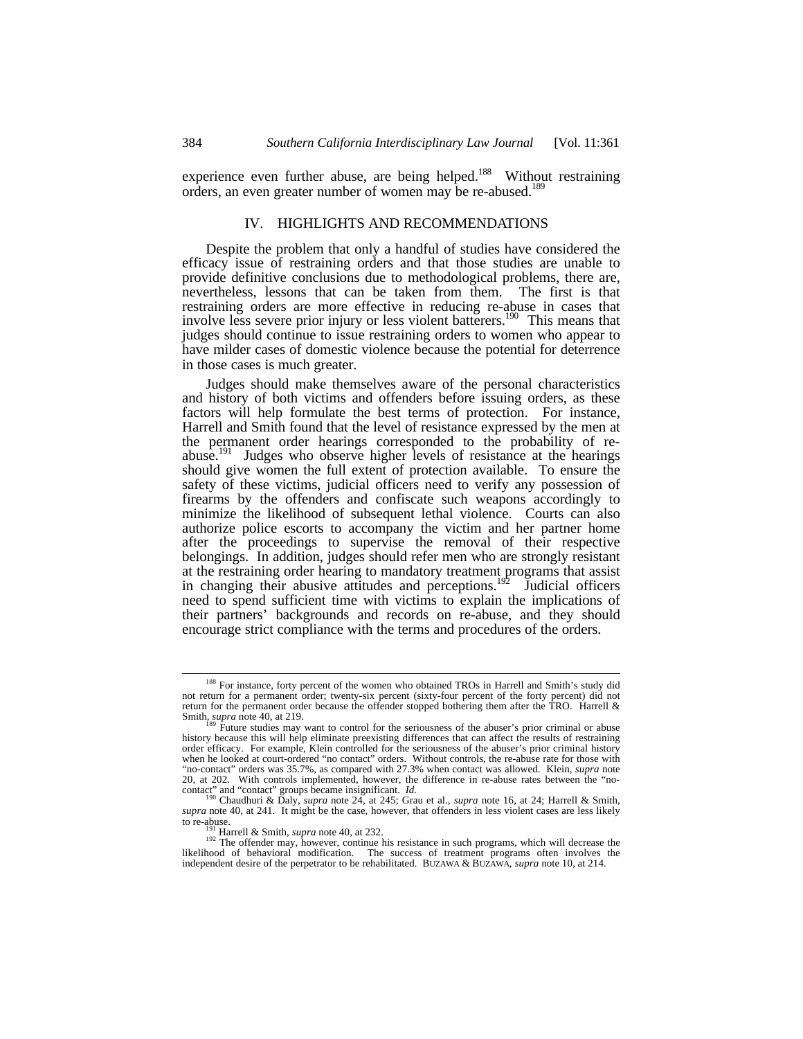experience even further abuse, are being helped.<sup>188</sup> Without restraining orders, an even greater number of women may be re-abused.<sup>189</sup>

# IV. HIGHLIGHTS AND RECOMMENDATIONS

Despite the problem that only a handful of studies have considered the efficacy issue of restraining orders and that those studies are unable to provide definitive conclusions due to methodological problems, there are, nevertheless, lessons that can be taken from them. The first is that restraining orders are more effective in reducing re-abuse in cases that involve less severe prior injury or less violent batterers.<sup>190</sup> This means that judges should continue to issue restraining orders to women who appear to have milder cases of domestic violence because the potential for deterrence in those cases is much greater.

Judges should make themselves aware of the personal characteristics and history of both victims and offenders before issuing orders, as these factors will help formulate the best terms of protection. For instance, Harrell and Smith found that the level of resistance expressed by the men at the permanent order hearings corresponded to the probability of reabuse.<sup>191</sup> Judges who observe higher levels of resistance at the hearings should give women the full extent of protection available. To ensure the safety of these victims, judicial officers need to verify any possession of firearms by the offenders and confiscate such weapons accordingly to minimize the likelihood of subsequent lethal violence. Courts can also authorize police escorts to accompany the victim and her partner home after the proceedings to supervise the removal of their respective belongings. In addition, judges should refer men who are strongly resistant at the restraining order hearing to mandatory treatment programs that assist in changing their abusive attitudes and perceptions.<sup>192</sup> Judicial officers need to spend sufficient time with victims to explain the implications of their partners' backgrounds and records on re-abuse, and they should encourage strict compliance with the terms and procedures of the orders.

<sup>&</sup>lt;sup>188</sup> For instance, forty percent of the women who obtained TROs in Harrell and Smith's study did not return for a permanent order; twenty-six percent (sixty-four percent of the forty percent) did not return for the permanent order because the offender stopped bothering them after the TRO. Harrell & Smith, *supra* note 40, at 219.

Future studies may want to control for the seriousness of the abuser's prior criminal or abuse history because this will help eliminate preexisting differences that can affect the results of restraining order efficacy. For example, Klein controlled for the seriousness of the abuser's prior criminal history when he looked at court-ordered "no contact" orders. Without controls, the re-abuse rate for those with "no-contact" orders was 35.7%, as compared with 27.3% when contact was allowed. Klein, *supra* note 20, at 202. With controls implemented, however, the difference in re-abuse rates between the "no-

contact" and "contact" groups became insignificant. *Id.* <sup>190</sup> Chaudhuri & Daly, *supra* note 24, at 245; Grau et al., *supra* note 16, at 24; Harrell & Smith, *supra* note 40, at 241. It might be the case, however, that offenders in less violent cases are less likely to re-abuse.

Harrell & Smith, *supra* note 40, at 232.

 $192$  The offender may, however, continue his resistance in such programs, which will decrease the likelihood of behavioral modification. The success of treatment programs often involves the independent desire of the perpetrator to be rehabilitated. BUZAWA & BUZAWA, *supra* note 10, at 214.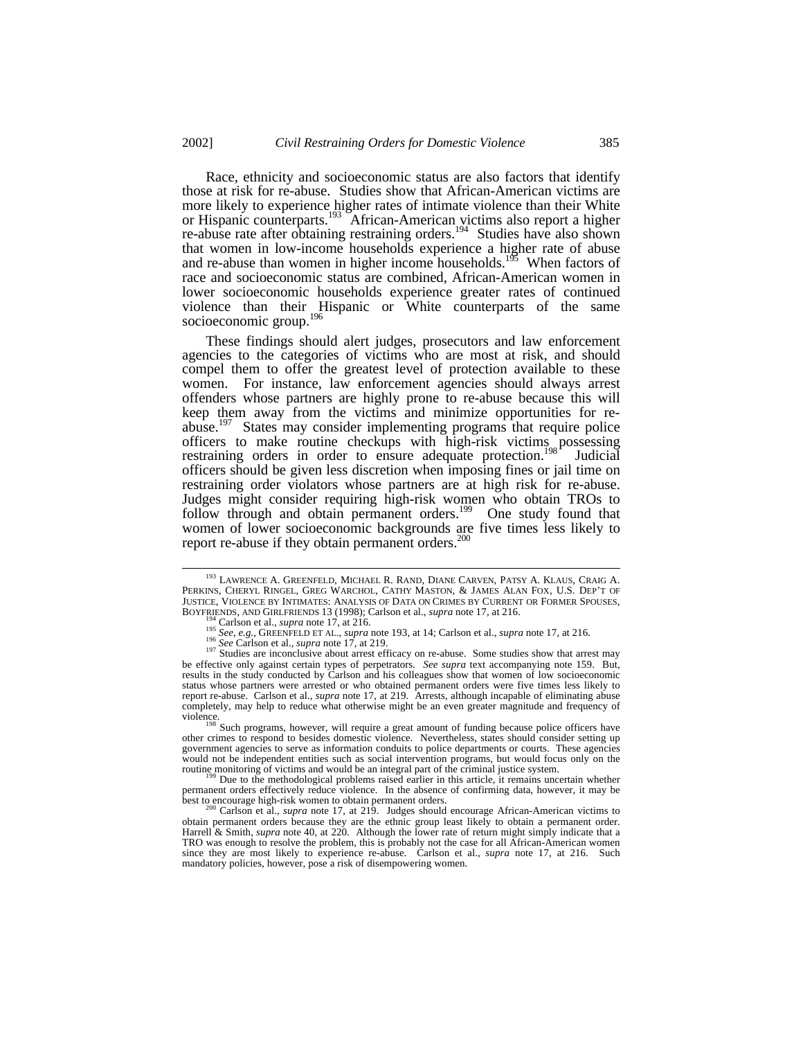Race, ethnicity and socioeconomic status are also factors that identify those at risk for re-abuse. Studies show that African-American victims are more likely to experience higher rates of intimate violence than their White or Hispanic counterparts.<sup>193</sup> African-American victims also report a higher re-abuse rate after obtaining restraining orders.<sup>194</sup> Studies have also shown that women in low-income households experience a higher rate of abuse and re-abuse than women in higher income households.<sup>195</sup> When factors of race and socioeconomic status are combined, African-American women in lower socioeconomic households experience greater rates of continued violence than their Hispanic or White counterparts of the same socioeconomic group.<sup>196</sup>

These findings should alert judges, prosecutors and law enforcement agencies to the categories of victims who are most at risk, and should compel them to offer the greatest level of protection available to these women. For instance, law enforcement agencies should always arrest offenders whose partners are highly prone to re-abuse because this will keep them away from the victims and minimize opportunities for reabuse.<sup>197</sup> States may consider implementing programs that require police officers to make routine checkups with high-risk victims possessing restraining orders in order to ensure adequate protection.<sup>198</sup> Judicial officers should be given less discretion when imposing fines or jail time on restraining order violators whose partners are at high risk for re-abuse. Judges might consider requiring high-risk women who obtain TROs to follow through and obtain permanent orders.<sup>199</sup> One study found that women of lower socioeconomic backgrounds are five times less likely to report re-abuse if they obtain permanent orders. $200$ 

<sup>&</sup>lt;sup>193</sup> LAWRENCE A. GREENFELD, MICHAEL R. RAND, DIANE CARVEN, PATSY A. KLAUS, CRAIG A. PERKINS, CHERYL RINGEL, GREG WARCHOL, CATHY MASTON, & JAMES ALAN FOX, U.S. DEP'T OF JUSTICE, VIOLENCE BY INTIMATES: ANALYSIS OF DATA ON CRIMES BY CURRENT OR FORMER SPOUSES, BOYFRIENDS, AND GIRLFRIENDS 13 (1998); Carlson et al., *supra* note 17, at 216.

Carlson et al., *supra* note 17, at 216.

<sup>195</sup> *See, e.g.*, GREENFELD ET AL., *supra* note 193, at 14; Carlson et al., *supra* note 17, at 216. <sup>196</sup> *See* Carlson et al., *supra* note 17, at 219.

<sup>&</sup>lt;sup>197</sup> Studies are inconclusive about arrest efficacy on re-abuse. Some studies show that arrest may studies are inconclusive about arrest efficacy on re-abuse. be effective only against certain types of perpetrators. *See supra* text accompanying note 159. But, results in the study conducted by Carlson and his colleagues show that women of low socioeconomic status whose partners were arrested or who obtained permanent orders were five times less likely to report re-abuse. Carlson et al., *supra* note 17, at 219. Arrests, although incapable of eliminating abuse completely, may help to reduce what otherwise might be an even greater magnitude and frequency of violence.

Such programs, however, will require a great amount of funding because police officers have other crimes to respond to besides domestic violence. Nevertheless, states should consider setting up government agencies to serve as information conduits to police departments or courts. These agencies would not be independent entities such as social intervention programs, but would focus only on the routine monitoring of victims and would be an integral part of the criminal justice system.

 $<sup>9</sup>$  Due to the methodological problems raised earlier in this article, it remains uncertain whether</sup> permanent orders effectively reduce violence. In the absence of confirming data, however, it may be best to encourage high-risk women to obtain permanent orders.

<sup>200</sup> Carlson et al., *supra* note 17, at 219. Judges should encourage African-American victims to obtain permanent orders because they are the ethnic group least likely to obtain a permanent order. Harrell & Smith*, supra* note 40, at 220. Although the lower rate of return might simply indicate that a TRO was enough to resolve the problem, this is probably not the case for all African-American women since they are most likely to experience re-abuse. Carlson et al., *supra* note 17, at 216. Such mandatory policies, however, pose a risk of disempowering women.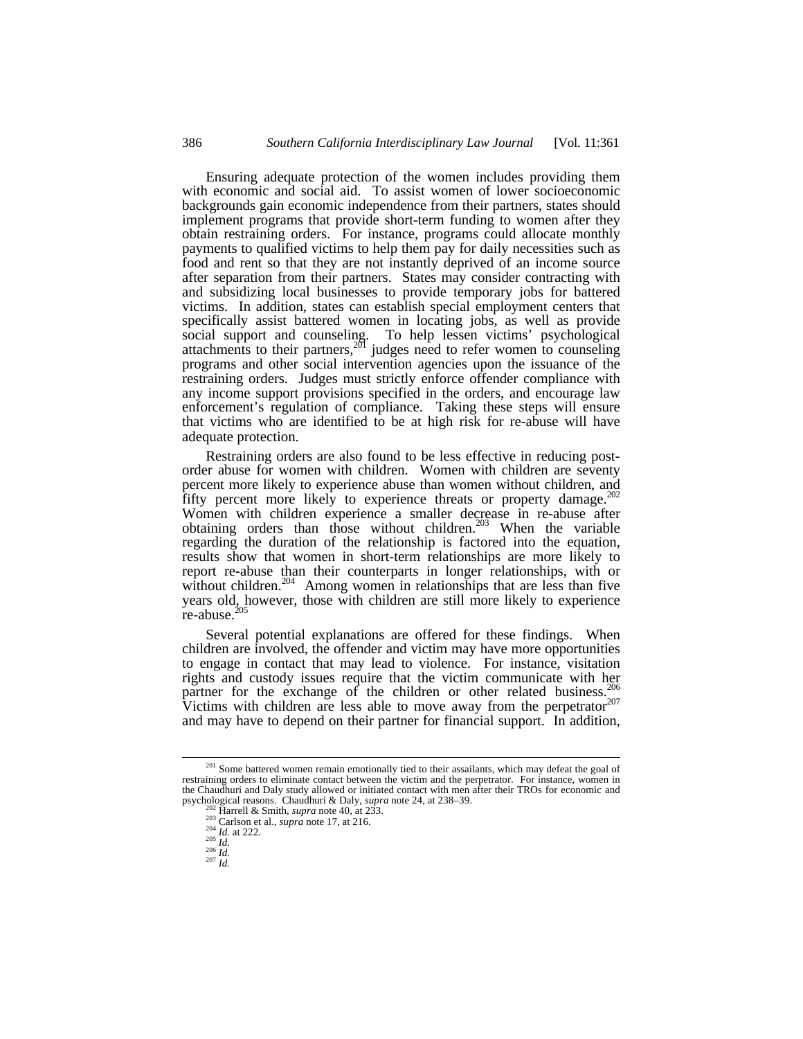Ensuring adequate protection of the women includes providing them with economic and social aid. To assist women of lower socioeconomic backgrounds gain economic independence from their partners, states should implement programs that provide short-term funding to women after they obtain restraining orders. For instance, programs could allocate monthly payments to qualified victims to help them pay for daily necessities such as food and rent so that they are not instantly deprived of an income source after separation from their partners. States may consider contracting with and subsidizing local businesses to provide temporary jobs for battered victims. In addition, states can establish special employment centers that specifically assist battered women in locating jobs, as well as provide social support and counseling. To help lessen victims' psychological attachments to their partners,<sup>201</sup> judges need to refer women to counseling programs and other social intervention agencies upon the issuance of the restraining orders. Judges must strictly enforce offender compliance with any income support provisions specified in the orders, and encourage law enforcement's regulation of compliance. Taking these steps will ensure that victims who are identified to be at high risk for re-abuse will have adequate protection.

Restraining orders are also found to be less effective in reducing postorder abuse for women with children. Women with children are seventy percent more likely to experience abuse than women without children, and fifty percent more likely to experience threats or property damage.<sup>202</sup> Women with children experience a smaller decrease in re-abuse after obtaining orders than those without children.<sup>203</sup> When the variable regarding the duration of the relationship is factored into the equation, results show that women in short-term relationships are more likely to report re-abuse than their counterparts in longer relationships, with or without children.<sup>204</sup> Among women in relationships that are less than five years old, however, those with children are still more likely to experience  $re$ -abuse.<sup>205</sup>

Several potential explanations are offered for these findings. When children are involved, the offender and victim may have more opportunities to engage in contact that may lead to violence. For instance, visitation rights and custody issues require that the victim communicate with her partner for the exchange of the children or other related business.<sup>206</sup> Victims with children are less able to move away from the perpetrator  $207$ and may have to depend on their partner for financial support. In addition,

- <sup>206</sup> *Id.* <sup>207</sup> *Id.*
- 

<sup>&</sup>lt;sup>201</sup> Some battered women remain emotionally tied to their assailants, which may defeat the goal of restraining orders to eliminate contact between the victim and the perpetrator. For instance, women in the Chaudhuri and Daly study allowed or initiated contact with men after their TROs for economic and psychological reasons. Chaudhuri & Daly, *supra* note 24, at 238–39.

Harrell & Smith, *supra* note 40, at 233.

<sup>&</sup>lt;sup>203</sup> Carlson et al., *supra* note 17, at 216.

<sup>204</sup> *Id.* at 222. <sup>205</sup> *Id.*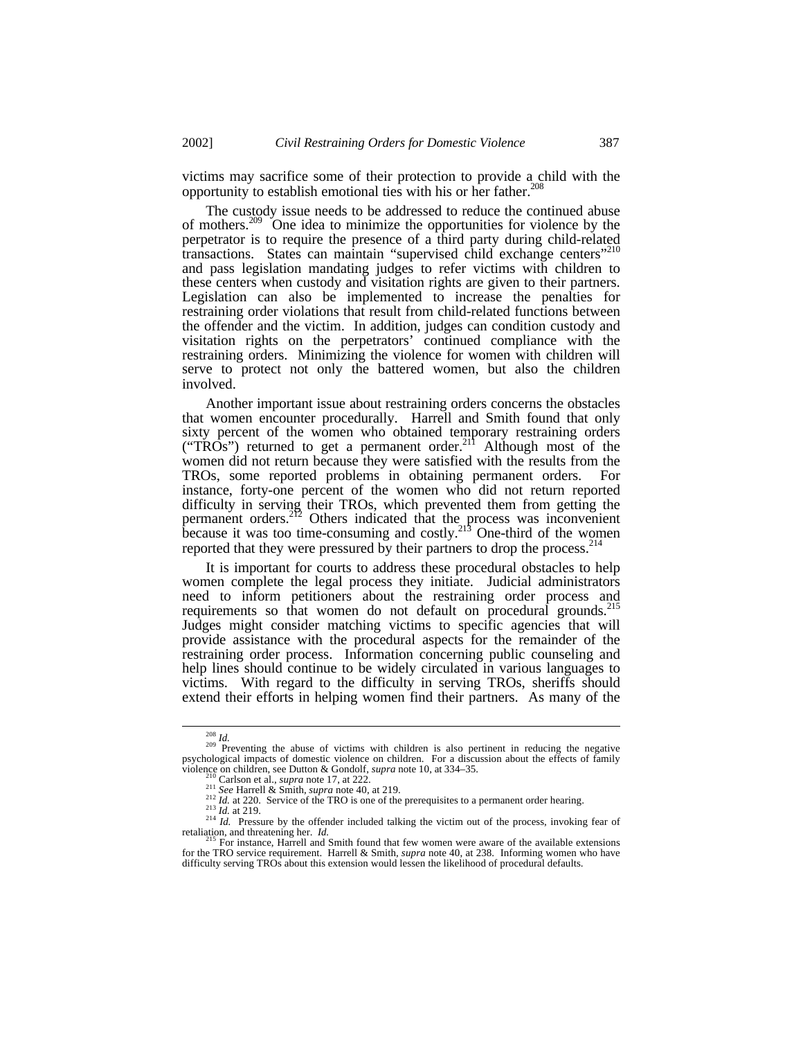victims may sacrifice some of their protection to provide a child with the opportunity to establish emotional ties with his or her father. $208$ 

The custody issue needs to be addressed to reduce the continued abuse of mothers.<sup>209</sup> One idea to minimize the opportunities for violence by the perpetrator is to require the presence of a third party during child-related transactions. States can maintain "supervised child exchange centers"<sup>210</sup> and pass legislation mandating judges to refer victims with children to these centers when custody and visitation rights are given to their partners. Legislation can also be implemented to increase the penalties for restraining order violations that result from child-related functions between the offender and the victim. In addition, judges can condition custody and visitation rights on the perpetrators' continued compliance with the restraining orders. Minimizing the violence for women with children will serve to protect not only the battered women, but also the children involved.

Another important issue about restraining orders concerns the obstacles that women encounter procedurally. Harrell and Smith found that only sixty percent of the women who obtained temporary restraining orders ("TROs") returned to get a permanent order.<sup>211</sup> Although most of the women did not return because they were satisfied with the results from the TROs, some reported problems in obtaining permanent orders. For instance, forty-one percent of the women who did not return reported difficulty in serving their TROs, which prevented them from getting the permanent orders.<sup>212</sup> Others indicated that the process was inconvenient because it was too time-consuming and costly.<sup>213</sup> One-third of the women reported that they were pressured by their partners to drop the process.<sup>214</sup>

It is important for courts to address these procedural obstacles to help women complete the legal process they initiate. Judicial administrators need to inform petitioners about the restraining order process and requirements so that women do not default on procedural grounds.<sup>215</sup> Judges might consider matching victims to specific agencies that will provide assistance with the procedural aspects for the remainder of the restraining order process. Information concerning public counseling and help lines should continue to be widely circulated in various languages to victims. With regard to the difficulty in serving TROs, sheriffs should extend their efforts in helping women find their partners. As many of the

<sup>&</sup>lt;sup>208</sup> *Id.*<br><sup>209</sup> Preventing the abuse of victims with children is also pertinent in reducing the negative psychological impacts of domestic violence on children. For a discussion about the effects of family violence on children, see Dutton & Gondolf, *supra* note 10, at 334–35.

Carlson et al., *supra* note 17, at 222.

<sup>211</sup> *See* Harrell & Smith, *supra* note 40, at 219.

<sup>&</sup>lt;sup>212</sup> *Id.* at 220. Service of the TRO is one of the prerequisites to a permanent order hearing.

<sup>213</sup> *Id.* at 219.

 $214$  *Id.* Pressure by the offender included talking the victim out of the process, invoking fear of retaliation, and threatening her. *Id.*

<sup>&</sup>lt;sup>215</sup> For instance, Harrell and Smith found that few women were aware of the available extensions for the TRO service requirement. Harrell & Smith, *supra* note 40, at 238. Informing women who have difficulty serving TROs about this extension would lessen the likelihood of procedural defaults.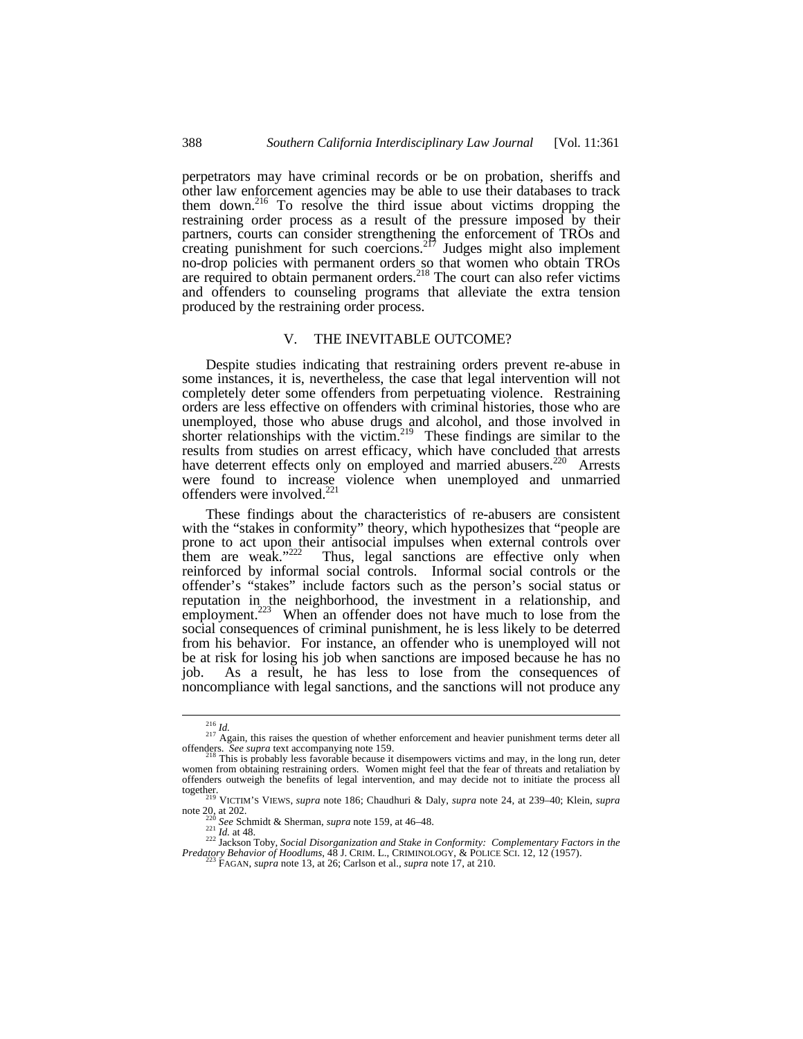perpetrators may have criminal records or be on probation, sheriffs and other law enforcement agencies may be able to use their databases to track them down.<sup>216</sup> To resolve the third issue about victims dropping the restraining order process as a result of the pressure imposed by their partners, courts can consider strengthening the enforcement of TROs and creating punishment for such coercions.<sup>217</sup> Judges might also implement no-drop policies with permanent orders so that women who obtain TROs are required to obtain permanent orders.<sup>218</sup> The court can also refer victims and offenders to counseling programs that alleviate the extra tension produced by the restraining order process.

# V. THE INEVITABLE OUTCOME?

Despite studies indicating that restraining orders prevent re-abuse in some instances, it is, nevertheless, the case that legal intervention will not completely deter some offenders from perpetuating violence. Restraining orders are less effective on offenders with criminal histories, those who are unemployed, those who abuse drugs and alcohol, and those involved in shorter relationships with the victim.<sup>219</sup> These findings are similar to the results from studies on arrest efficacy, which have concluded that arrests have deterrent effects only on employed and married abusers.<sup>220</sup> Arrests were found to increase violence when unemployed and unmarried offenders were involved.<sup>221</sup>

These findings about the characteristics of re-abusers are consistent with the "stakes in conformity" theory, which hypothesizes that "people are prone to act upon their antisocial impulses when external controls over them are weak."<sup>222</sup> Thus, legal sanctions are effective only when Thus, legal sanctions are effective only when reinforced by informal social controls. Informal social controls or the offender's "stakes" include factors such as the person's social status or reputation in the neighborhood, the investment in a relationship, and employment.<sup>223</sup> When an offender does not have much to lose from the social consequences of criminal punishment, he is less likely to be deterred from his behavior. For instance, an offender who is unemployed will not be at risk for losing his job when sanctions are imposed because he has no job. As a result, he has less to lose from the consequences of noncompliance with legal sanctions, and the sanctions will not produce any

<sup>&</sup>lt;sup>216</sup> *Id.*<br><sup>217</sup> Again, this raises the question of whether enforcement and heavier punishment terms deter all offenders. *See supra* text accompanying note 159. <sup>218</sup> This is probably less favorable because it disempowers victims and may, in the long run, deter

women from obtaining restraining orders. Women might feel that the fear of threats and retaliation by offenders outweigh the benefits of legal intervention, and may decide not to initiate the process all together. <sup>219</sup> VICTIM'S VIEWS, *supra* note 186; Chaudhuri & Daly, *supra* note 24, at 239–40; Klein, *supra*

note  $20, \text{ at } 202.$ 

See Schmidt & Sherman, *supra* note 159, at 46-48.  $\frac{221}{221}$  *Id.* at 48.

<sup>222</sup> Jackson Toby, *Social Disorganization and Stake in Conformity: Complementary Factors in the Predatory Behavior of Hoodlums*, 48 J. CRIM. L., CRIMINOLOGY, & POLICE SCI. 12, 12 (1957). <sup>223</sup> FAGAN, *supra* note 13, at 26; Carlson et al., *supra* note 17, at 210.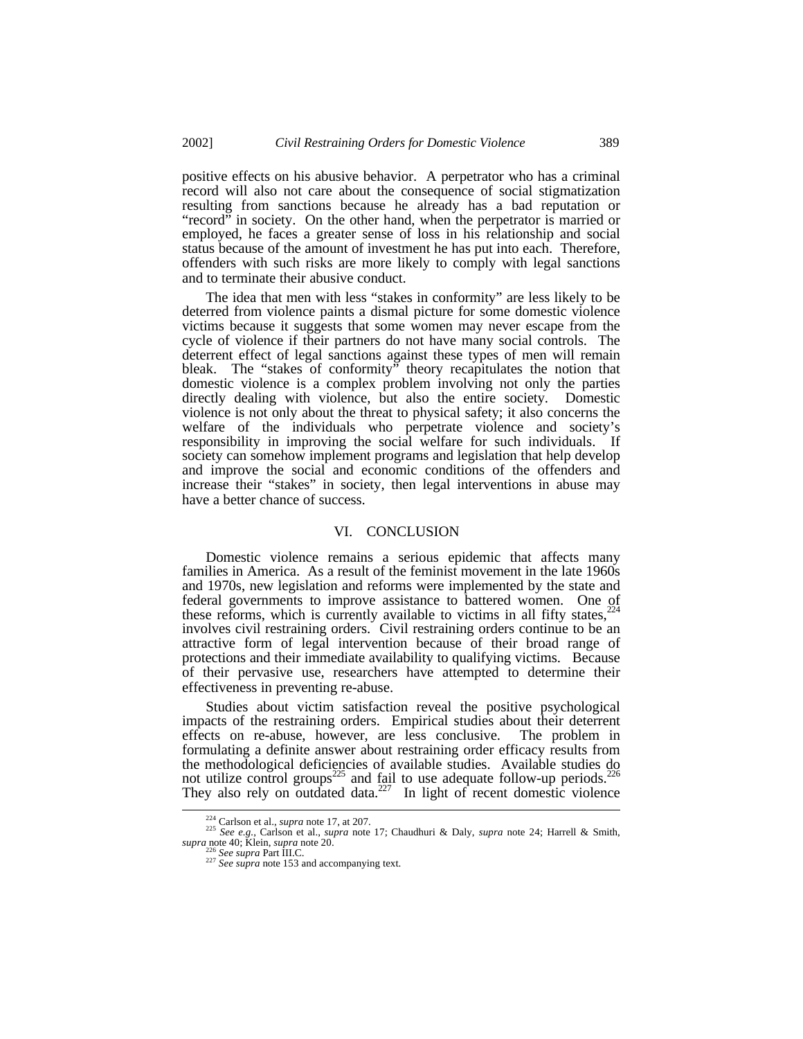positive effects on his abusive behavior. A perpetrator who has a criminal record will also not care about the consequence of social stigmatization resulting from sanctions because he already has a bad reputation or "record" in society. On the other hand, when the perpetrator is married or employed, he faces a greater sense of loss in his relationship and social status because of the amount of investment he has put into each. Therefore, offenders with such risks are more likely to comply with legal sanctions and to terminate their abusive conduct.

The idea that men with less "stakes in conformity" are less likely to be deterred from violence paints a dismal picture for some domestic violence victims because it suggests that some women may never escape from the cycle of violence if their partners do not have many social controls. The deterrent effect of legal sanctions against these types of men will remain bleak. The "stakes of conformity" theory recapitulates the notion that domestic violence is a complex problem involving not only the parties directly dealing with violence, but also the entire society. Domestic violence is not only about the threat to physical safety; it also concerns the welfare of the individuals who perpetrate violence and society's responsibility in improving the social welfare for such individuals. If society can somehow implement programs and legislation that help develop and improve the social and economic conditions of the offenders and increase their "stakes" in society, then legal interventions in abuse may have a better chance of success.

#### VI. CONCLUSION

Domestic violence remains a serious epidemic that affects many families in America. As a result of the feminist movement in the late 1960s and 1970s, new legislation and reforms were implemented by the state and federal governments to improve assistance to battered women. One of these reforms, which is currently available to victims in all fifty states, involves civil restraining orders. Civil restraining orders continue to be an attractive form of legal intervention because of their broad range of protections and their immediate availability to qualifying victims. Because of their pervasive use, researchers have attempted to determine their effectiveness in preventing re-abuse.

Studies about victim satisfaction reveal the positive psychological impacts of the restraining orders. Empirical studies about their deterrent effects on re-abuse, however, are less conclusive. formulating a definite answer about restraining order efficacy results from the methodological deficiencies of available studies. Available studies do not utilize control groups<sup>225</sup> and fail to use adequate follow-up periods.<sup>2</sup> They also rely on outdated data. $227$  In light of recent domestic violence

<sup>224</sup> Carlson et al., *supra* note 17, at 207. <sup>225</sup> *See e.g.*, Carlson et al., *supra* note 17; Chaudhuri & Daly, *supra* note 24; Harrell & Smith, *supra* note 40; Klein, *supra* note 20.

<sup>226</sup> *See supra* Part III.C. <sup>227</sup> *See supra* note 153 and accompanying text.